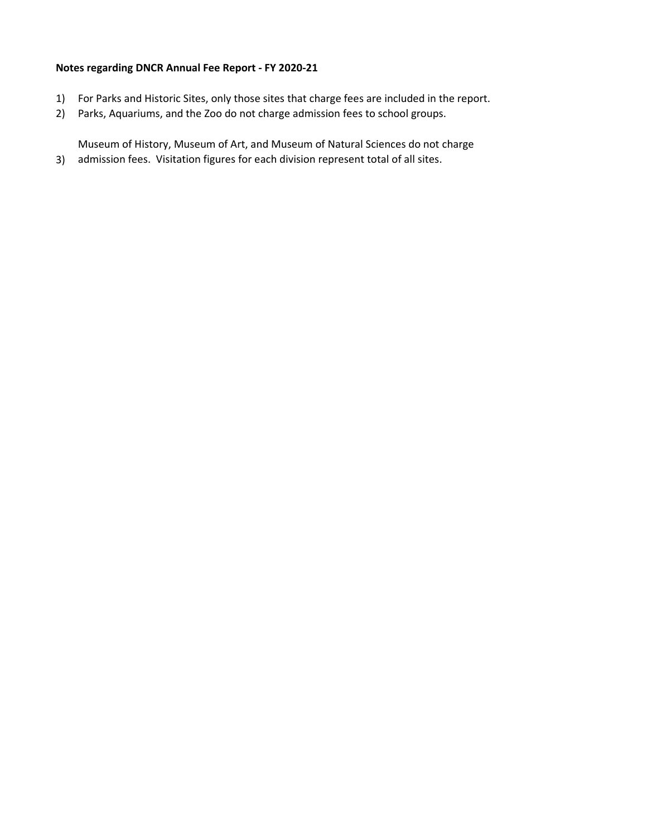# Notes regarding DNCR Annual Fee Report - FY 2020-21

- 1) For Parks and Historic Sites, only those sites that charge fees are included in the report.
- 2) Parks, Aquariums, and the Zoo do not charge admission fees to school groups.

3) admission fees. Visitation figures for each division represent total of all sites.Museum of History, Museum of Art, and Museum of Natural Sciences do not charge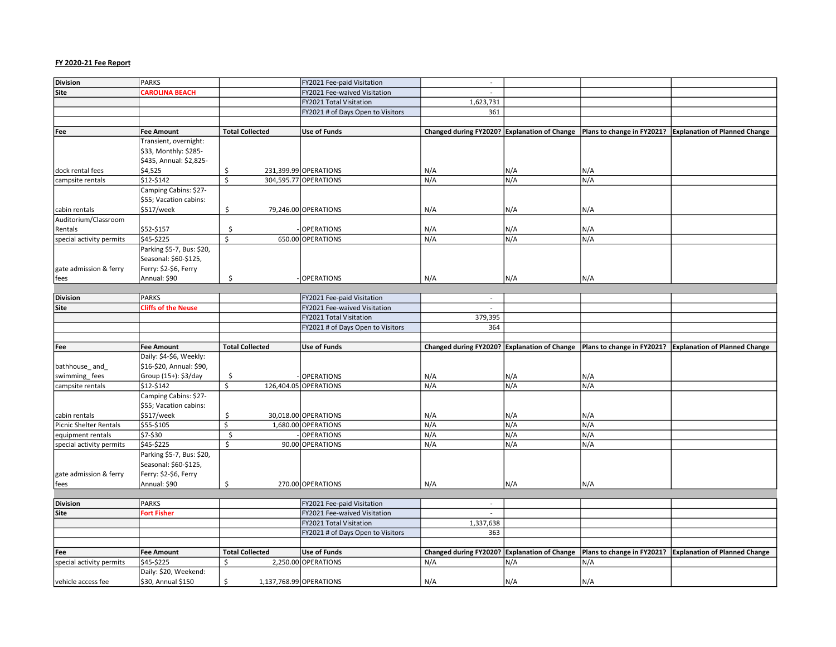| <b>Division</b>                | <b>PARKS</b>                                |                        | FY2021 Fee-paid Visitation        | $\sim$                                       |     |                            |                                                                                                         |
|--------------------------------|---------------------------------------------|------------------------|-----------------------------------|----------------------------------------------|-----|----------------------------|---------------------------------------------------------------------------------------------------------|
| Site                           | <b>CAROLINA BEACH</b>                       |                        | FY2021 Fee-waived Visitation      | $\overline{a}$                               |     |                            |                                                                                                         |
|                                |                                             |                        | FY2021 Total Visitation           |                                              |     |                            |                                                                                                         |
|                                |                                             |                        |                                   | 1,623,731                                    |     |                            |                                                                                                         |
|                                |                                             |                        | FY2021 # of Days Open to Visitors | 361                                          |     |                            |                                                                                                         |
|                                |                                             |                        |                                   |                                              |     |                            |                                                                                                         |
| Fee                            | <b>Fee Amount</b>                           | <b>Total Collected</b> | <b>Use of Funds</b>               |                                              |     |                            | Changed during FY2020? Explanation of Change   Plans to change in FY2021? Explanation of Planned Change |
|                                | Transient, overnight:                       |                        |                                   |                                              |     |                            |                                                                                                         |
|                                | \$33, Monthly: \$285-                       |                        |                                   |                                              |     |                            |                                                                                                         |
|                                | \$435, Annual: \$2,825-                     |                        |                                   |                                              |     |                            |                                                                                                         |
| dock rental fees               | \$4,525                                     | \$                     | 231,399.99 OPERATIONS             | N/A                                          | N/A | N/A                        |                                                                                                         |
| campsite rentals               | \$12-\$142                                  | \$                     | 304,595.77 OPERATIONS             | N/A                                          | N/A | N/A                        |                                                                                                         |
|                                | Camping Cabins: \$27-                       |                        |                                   |                                              |     |                            |                                                                                                         |
|                                | \$55; Vacation cabins:                      |                        |                                   |                                              |     |                            |                                                                                                         |
| cabin rentals                  | \$517/week                                  | \$                     | 79,246.00 OPERATIONS              | N/A                                          | N/A | N/A                        |                                                                                                         |
| Auditorium/Classroom           |                                             |                        |                                   |                                              |     |                            |                                                                                                         |
| Rentals                        | \$52-\$157                                  | \$                     | <b>OPERATIONS</b>                 | N/A                                          | N/A | N/A                        |                                                                                                         |
|                                | \$45-\$225                                  | Ś.                     | 650.00 OPERATIONS                 | N/A                                          | N/A | N/A                        |                                                                                                         |
| special activity permits       |                                             |                        |                                   |                                              |     |                            |                                                                                                         |
|                                | Parking \$5-7, Bus: \$20,                   |                        |                                   |                                              |     |                            |                                                                                                         |
|                                | Seasonal: \$60-\$125,                       |                        |                                   |                                              |     |                            |                                                                                                         |
| gate admission & ferry         | Ferry: \$2-\$6, Ferry                       |                        |                                   |                                              |     |                            |                                                                                                         |
| fees                           | Annual: \$90                                | \$                     | <b>OPERATIONS</b>                 | N/A                                          | N/A | N/A                        |                                                                                                         |
|                                |                                             |                        |                                   |                                              |     |                            |                                                                                                         |
| <b>Division</b>                | <b>PARKS</b>                                |                        | FY2021 Fee-paid Visitation        | $\sim$                                       |     |                            |                                                                                                         |
| Site                           | <b>Cliffs of the Neuse</b>                  |                        | FY2021 Fee-waived Visitation      |                                              |     |                            |                                                                                                         |
|                                |                                             |                        | FY2021 Total Visitation           | 379,395                                      |     |                            |                                                                                                         |
|                                |                                             |                        | FY2021 # of Days Open to Visitors | 364                                          |     |                            |                                                                                                         |
|                                |                                             |                        |                                   |                                              |     |                            |                                                                                                         |
|                                |                                             |                        |                                   |                                              |     |                            |                                                                                                         |
|                                |                                             |                        |                                   |                                              |     |                            |                                                                                                         |
| Fee                            | <b>Fee Amount</b>                           | <b>Total Collected</b> | <b>Use of Funds</b>               |                                              |     |                            | Changed during FY2020? Explanation of Change   Plans to change in FY2021? Explanation of Planned Change |
|                                | Daily: \$4-\$6, Weekly:                     |                        |                                   |                                              |     |                            |                                                                                                         |
| bathhouse_and_                 | \$16-\$20, Annual: \$90,                    |                        |                                   |                                              |     |                            |                                                                                                         |
| swimming_fees                  | Group (15+): \$3/day                        | \$                     | <b>OPERATIONS</b>                 | N/A                                          | N/A | N/A                        |                                                                                                         |
| campsite rentals               | \$12-\$142                                  | \$                     | 126,404.05 OPERATIONS             | N/A                                          | N/A | N/A                        |                                                                                                         |
|                                | Camping Cabins: \$27-                       |                        |                                   |                                              |     |                            |                                                                                                         |
|                                | \$55; Vacation cabins:                      |                        |                                   |                                              |     |                            |                                                                                                         |
| cabin rentals                  | \$517/week                                  | \$                     | 30,018.00 OPERATIONS              | N/A                                          | N/A | N/A                        |                                                                                                         |
| Picnic Shelter Rentals         | \$55-\$105                                  | Ś.                     | 1,680.00 OPERATIONS               | N/A                                          | N/A | N/A                        |                                                                                                         |
| equipment rentals              | \$7-\$30                                    | \$                     | <b>OPERATIONS</b>                 | N/A                                          | N/A | N/A                        |                                                                                                         |
| special activity permits       | \$45-\$225                                  | \$                     | 90.00 OPERATIONS                  | N/A                                          | N/A | N/A                        |                                                                                                         |
|                                | Parking \$5-7, Bus: \$20,                   |                        |                                   |                                              |     |                            |                                                                                                         |
|                                | Seasonal: \$60-\$125,                       |                        |                                   |                                              |     |                            |                                                                                                         |
|                                | Ferry: \$2-\$6, Ferry                       |                        |                                   |                                              |     |                            |                                                                                                         |
| gate admission & ferry<br>fees | Annual: \$90                                | \$                     | 270.00 OPERATIONS                 | N/A                                          | N/A | N/A                        |                                                                                                         |
|                                |                                             |                        |                                   |                                              |     |                            |                                                                                                         |
|                                |                                             |                        |                                   |                                              |     |                            |                                                                                                         |
| <b>Division</b>                | <b>PARKS</b>                                |                        | FY2021 Fee-paid Visitation        | $\sim$<br>$\sim$                             |     |                            |                                                                                                         |
| Site                           | <b>Fort Fisher</b>                          |                        | FY2021 Fee-waived Visitation      |                                              |     |                            |                                                                                                         |
|                                |                                             |                        | FY2021 Total Visitation           | 1,337,638                                    |     |                            |                                                                                                         |
|                                |                                             |                        | FY2021 # of Days Open to Visitors | 363                                          |     |                            |                                                                                                         |
|                                |                                             |                        |                                   |                                              |     |                            |                                                                                                         |
| Fee                            | <b>Fee Amount</b>                           | <b>Total Collected</b> | <b>Use of Funds</b>               | Changed during FY2020? Explanation of Change |     | Plans to change in FY2021? | <b>Explanation of Planned Change</b>                                                                    |
| special activity permits       | \$45-\$225                                  | Ś                      | 2,250.00 OPERATIONS               | N/A                                          | N/A | N/A                        |                                                                                                         |
| vehicle access fee             | Daily: \$20, Weekend:<br>\$30, Annual \$150 | \$                     | 1,137,768.99 OPERATIONS           | N/A                                          | N/A | N/A                        |                                                                                                         |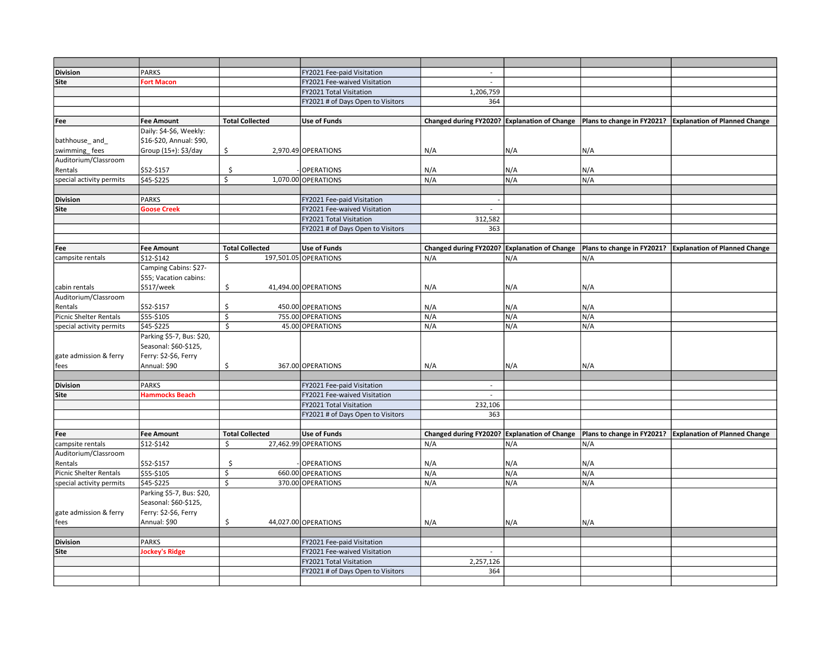| <b>Division</b>                   | <b>PARKS</b>                          |                        | FY2021 Fee-paid Visitation        |                          |                              |                            |                                                                                                           |
|-----------------------------------|---------------------------------------|------------------------|-----------------------------------|--------------------------|------------------------------|----------------------------|-----------------------------------------------------------------------------------------------------------|
| Site                              | <b>Fort Macon</b>                     |                        | FY2021 Fee-waived Visitation      | $\sim$                   |                              |                            |                                                                                                           |
|                                   |                                       |                        | FY2021 Total Visitation           | 1,206,759                |                              |                            |                                                                                                           |
|                                   |                                       |                        | FY2021 # of Days Open to Visitors | 364                      |                              |                            |                                                                                                           |
|                                   |                                       |                        |                                   |                          |                              |                            |                                                                                                           |
| Fee                               | <b>Fee Amount</b>                     | <b>Total Collected</b> | <b>Use of Funds</b>               |                          |                              |                            | Changed during FY2020? Explanation of Change   Plans to change in FY2021? Explanation of Planned Change   |
|                                   | Daily: \$4-\$6, Weekly:               |                        |                                   |                          |                              |                            |                                                                                                           |
| bathhouse_and                     | \$16-\$20, Annual: \$90,              |                        |                                   |                          |                              |                            |                                                                                                           |
| swimming_fees                     | Group (15+): \$3/day                  | \$                     | 2,970.49 OPERATIONS               | N/A                      | N/A                          | N/A                        |                                                                                                           |
| Auditorium/Classroom              |                                       |                        |                                   |                          |                              |                            |                                                                                                           |
| Rentals                           | \$52-\$157                            | Ś                      | <b>OPERATIONS</b>                 | N/A                      | N/A                          | N/A                        |                                                                                                           |
| special activity permits          | \$45-\$225                            | Ś.                     | 1,070.00 OPERATIONS               | N/A                      | N/A                          | N/A                        |                                                                                                           |
|                                   |                                       |                        |                                   |                          |                              |                            |                                                                                                           |
| <b>Division</b>                   | <b>PARKS</b>                          |                        | FY2021 Fee-paid Visitation        |                          |                              |                            |                                                                                                           |
| Site                              | <b>Goose Creek</b>                    |                        | FY2021 Fee-waived Visitation      | $\sim$                   |                              |                            |                                                                                                           |
|                                   |                                       |                        | FY2021 Total Visitation           | 312,582                  |                              |                            |                                                                                                           |
|                                   |                                       |                        | FY2021 # of Days Open to Visitors | 363                      |                              |                            |                                                                                                           |
|                                   |                                       |                        |                                   |                          |                              |                            |                                                                                                           |
| Fee                               | <b>Fee Amount</b>                     | <b>Total Collected</b> | <b>Use of Funds</b>               |                          |                              |                            | Changed during FY2020? Explanation of Change   Plans to change in FY2021?   Explanation of Planned Change |
| campsite rentals                  | \$12-\$142                            | \$                     | 197,501.05 OPERATIONS             | N/A                      | N/A                          | N/A                        |                                                                                                           |
|                                   | Camping Cabins: \$27-                 |                        |                                   |                          |                              |                            |                                                                                                           |
|                                   | \$55; Vacation cabins:                |                        |                                   |                          |                              |                            |                                                                                                           |
| cabin rentals                     | \$517/week                            | \$                     | 41,494.00 OPERATIONS              | N/A                      | N/A                          | N/A                        |                                                                                                           |
| Auditorium/Classroom              |                                       |                        |                                   |                          |                              |                            |                                                                                                           |
| Rentals                           | \$52-\$157                            | \$                     | 450.00 OPERATIONS                 | N/A                      | N/A                          | N/A                        |                                                                                                           |
| <b>Picnic Shelter Rentals</b>     | \$55-\$105                            | $\zeta$                | 755.00 OPERATIONS                 | N/A                      | N/A                          | N/A                        |                                                                                                           |
| special activity permits          | \$45-\$225                            | \$                     | 45.00 OPERATIONS                  | N/A                      | N/A                          | N/A                        |                                                                                                           |
|                                   | Parking \$5-7, Bus: \$20,             |                        |                                   |                          |                              |                            |                                                                                                           |
|                                   | Seasonal: \$60-\$125,                 |                        |                                   |                          |                              |                            |                                                                                                           |
| gate admission & ferry            | Ferry: \$2-\$6, Ferry                 |                        |                                   |                          |                              |                            |                                                                                                           |
| fees                              | Annual: \$90                          | \$                     | 367.00 OPERATIONS                 | N/A                      | N/A                          | N/A                        |                                                                                                           |
|                                   |                                       |                        |                                   |                          |                              |                            |                                                                                                           |
| <b>Division</b>                   | <b>PARKS</b>                          |                        | FY2021 Fee-paid Visitation        | $\overline{\phantom{a}}$ |                              |                            |                                                                                                           |
| Site                              | <b>Hammocks Beach</b>                 |                        | FY2021 Fee-waived Visitation      | $\overline{a}$           |                              |                            |                                                                                                           |
|                                   |                                       |                        | FY2021 Total Visitation           | 232,106                  |                              |                            |                                                                                                           |
|                                   |                                       |                        | FY2021 # of Days Open to Visitors | 363                      |                              |                            |                                                                                                           |
|                                   |                                       |                        |                                   |                          |                              |                            |                                                                                                           |
| Fee                               | Fee Amount                            | <b>Total Collected</b> | <b>Use of Funds</b>               | Changed during FY2020?   | <b>Explanation of Change</b> | Plans to change in FY2021? | <b>Explanation of Planned Change</b>                                                                      |
| campsite rentals                  | \$12-\$142                            | \$                     | 27,462.99 OPERATIONS              | N/A                      | N/A                          | N/A                        |                                                                                                           |
| Auditorium/Classroom              |                                       |                        |                                   |                          |                              |                            |                                                                                                           |
| Rentals<br>Picnic Shelter Rentals | \$52-\$157<br>\$55-\$105              | \$<br>\$               | OPERATIONS<br>660.00 OPERATIONS   | N/A<br>N/A               | N/A<br>N/A                   | N/A<br>N/A                 |                                                                                                           |
|                                   | \$45-\$225                            | \$                     | 370.00 OPERATIONS                 | N/A                      | N/A                          | N/A                        |                                                                                                           |
| special activity permits          | Parking \$5-7, Bus: \$20,             |                        |                                   |                          |                              |                            |                                                                                                           |
|                                   |                                       |                        |                                   |                          |                              |                            |                                                                                                           |
|                                   | Seasonal: \$60-\$125,                 |                        |                                   |                          |                              |                            |                                                                                                           |
| gate admission & ferry            | Ferry: \$2-\$6, Ferry<br>Annual: \$90 | \$                     | 44,027.00 OPERATIONS              | N/A                      | N/A                          |                            |                                                                                                           |
| fees                              |                                       |                        |                                   |                          |                              | N/A                        |                                                                                                           |
| <b>Division</b>                   | <b>PARKS</b>                          |                        | FY2021 Fee-paid Visitation        |                          |                              |                            |                                                                                                           |
| Site                              | <b>Jockey's Ridge</b>                 |                        | FY2021 Fee-waived Visitation      |                          |                              |                            |                                                                                                           |
|                                   |                                       |                        | FY2021 Total Visitation           | 2,257,126                |                              |                            |                                                                                                           |
|                                   |                                       |                        | FY2021 # of Days Open to Visitors | 364                      |                              |                            |                                                                                                           |
|                                   |                                       |                        |                                   |                          |                              |                            |                                                                                                           |
|                                   |                                       |                        |                                   |                          |                              |                            |                                                                                                           |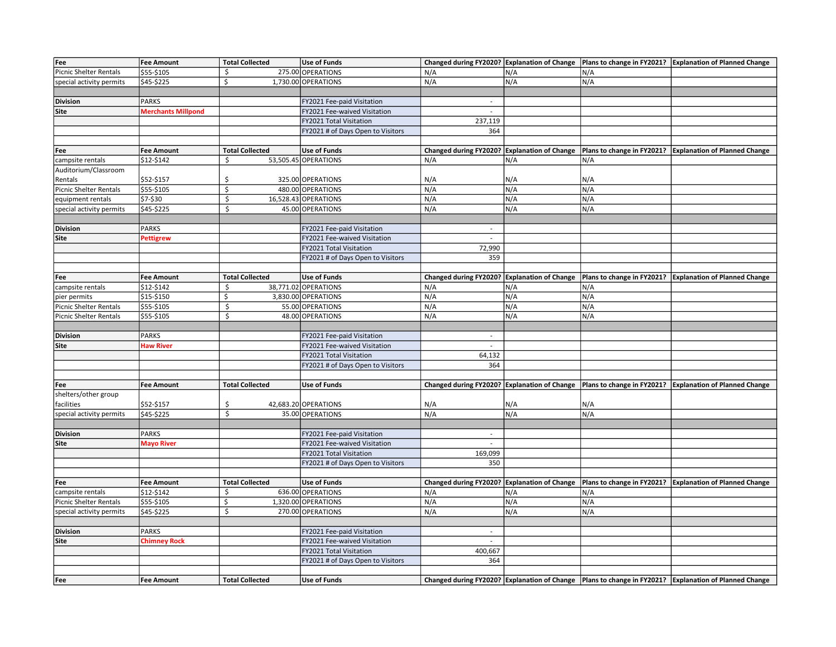| Fee                           | <b>Fee Amount</b>         | <b>Total Collected</b> | <b>Use of Funds</b>               |                                              |                              |                            | Changed during FY2020? Explanation of Change   Plans to change in FY2021?   Explanation of Planned Change |
|-------------------------------|---------------------------|------------------------|-----------------------------------|----------------------------------------------|------------------------------|----------------------------|-----------------------------------------------------------------------------------------------------------|
| <b>Picnic Shelter Rentals</b> | \$55-\$105                | \$                     | 275.00 OPERATIONS                 | N/A                                          | N/A                          | N/A                        |                                                                                                           |
| special activity permits      | \$45-\$225                | Ś.                     | 1,730.00 OPERATIONS               | N/A                                          | N/A                          | N/A                        |                                                                                                           |
|                               |                           |                        |                                   |                                              |                              |                            |                                                                                                           |
| <b>Division</b>               | <b>PARKS</b>              |                        | FY2021 Fee-paid Visitation        | $\sim$                                       |                              |                            |                                                                                                           |
| Site                          | <b>Merchants Millpond</b> |                        | FY2021 Fee-waived Visitation      | $\sim$                                       |                              |                            |                                                                                                           |
|                               |                           |                        | FY2021 Total Visitation           | 237,119                                      |                              |                            |                                                                                                           |
|                               |                           |                        | FY2021 # of Days Open to Visitors | 364                                          |                              |                            |                                                                                                           |
|                               |                           |                        |                                   |                                              |                              |                            |                                                                                                           |
| Fee                           | <b>Fee Amount</b>         | <b>Total Collected</b> | <b>Use of Funds</b>               | Changed during FY2020?                       | <b>Explanation of Change</b> |                            | Plans to change in FY2021?   Explanation of Planned Change                                                |
| campsite rentals              | \$12-\$142                | \$                     | 53,505.45 OPERATIONS              | N/A                                          | N/A                          | N/A                        |                                                                                                           |
| Auditorium/Classroom          |                           |                        |                                   |                                              |                              |                            |                                                                                                           |
| Rentals                       | \$52-\$157                | Ś                      | 325.00 OPERATIONS                 | N/A                                          | N/A                          | N/A                        |                                                                                                           |
| Picnic Shelter Rentals        | \$55-\$105                | \$                     | 480.00 OPERATIONS                 | N/A                                          | N/A                          | N/A                        |                                                                                                           |
| equipment rentals             | \$7-\$30                  | \$                     | 16,528.43 OPERATIONS              | N/A                                          | N/A                          | N/A                        |                                                                                                           |
| special activity permits      | \$45-\$225                | \$                     | 45.00 OPERATIONS                  | N/A                                          | N/A                          | N/A                        |                                                                                                           |
|                               |                           |                        |                                   |                                              |                              |                            |                                                                                                           |
| <b>Division</b>               | <b>PARKS</b>              |                        | FY2021 Fee-paid Visitation        | $\sim$                                       |                              |                            |                                                                                                           |
|                               |                           |                        | FY2021 Fee-waived Visitation      |                                              |                              |                            |                                                                                                           |
| Site                          | Pettigrew                 |                        |                                   | $\overline{\phantom{a}}$                     |                              |                            |                                                                                                           |
|                               |                           |                        | FY2021 Total Visitation           | 72,990                                       |                              |                            |                                                                                                           |
|                               |                           |                        | FY2021 # of Days Open to Visitors | 359                                          |                              |                            |                                                                                                           |
|                               |                           |                        |                                   |                                              |                              |                            |                                                                                                           |
| Fee                           | <b>Fee Amount</b>         | <b>Total Collected</b> | <b>Use of Funds</b>               | Changed during FY2020? Explanation of Change |                              |                            | Plans to change in FY2021? Explanation of Planned Change                                                  |
| campsite rentals              | \$12-\$142                | \$                     | 38,771.02 OPERATIONS              | N/A                                          | N/A                          | N/A                        |                                                                                                           |
| pier permits                  | \$15-\$150                | \$                     | 3,830.00 OPERATIONS               | N/A                                          | N/A                          | N/A                        |                                                                                                           |
| <b>Picnic Shelter Rentals</b> | \$55-\$105                | \$                     | 55.00 OPERATIONS                  | N/A                                          | N/A                          | N/A                        |                                                                                                           |
| <b>Picnic Shelter Rentals</b> | \$55-\$105                | \$                     | 48.00 OPERATIONS                  | N/A                                          | N/A                          | N/A                        |                                                                                                           |
|                               |                           |                        |                                   |                                              |                              |                            |                                                                                                           |
| <b>Division</b>               | <b>PARKS</b>              |                        | FY2021 Fee-paid Visitation        | $\overline{\phantom{a}}$                     |                              |                            |                                                                                                           |
| Site                          | <b>Haw River</b>          |                        | FY2021 Fee-waived Visitation      | $\sim$                                       |                              |                            |                                                                                                           |
|                               |                           |                        | FY2021 Total Visitation           | 64,132                                       |                              |                            |                                                                                                           |
|                               |                           |                        | FY2021 # of Days Open to Visitors | 364                                          |                              |                            |                                                                                                           |
|                               |                           |                        |                                   |                                              |                              |                            |                                                                                                           |
| Fee                           | <b>Fee Amount</b>         | <b>Total Collected</b> | <b>Use of Funds</b>               | Changed during FY2020? Explanation of Change |                              |                            | Plans to change in FY2021? Explanation of Planned Change                                                  |
| shelters/other group          |                           |                        |                                   |                                              |                              |                            |                                                                                                           |
| facilities                    | \$52-\$157                | \$                     | 42,683.20 OPERATIONS              | N/A                                          | N/A                          | N/A                        |                                                                                                           |
| special activity permits      | \$45-\$225                | \$                     | 35.00 OPERATIONS                  | N/A                                          | N/A                          | N/A                        |                                                                                                           |
|                               |                           |                        |                                   |                                              |                              |                            |                                                                                                           |
| <b>Division</b>               | <b>PARKS</b>              |                        | FY2021 Fee-paid Visitation        | $\sim$                                       |                              |                            |                                                                                                           |
| Site                          | <b>Mayo River</b>         |                        | FY2021 Fee-waived Visitation      | $\mathcal{L}^{\mathcal{A}}$                  |                              |                            |                                                                                                           |
|                               |                           |                        | FY2021 Total Visitation           | 169,099                                      |                              |                            |                                                                                                           |
|                               |                           |                        | FY2021 # of Days Open to Visitors | 350                                          |                              |                            |                                                                                                           |
|                               |                           |                        |                                   |                                              |                              |                            |                                                                                                           |
| Fee                           | <b>Fee Amount</b>         | <b>Total Collected</b> | <b>Use of Funds</b>               | Changed during FY2020? Explanation of Change |                              | Plans to change in FY2021? | <b>Explanation of Planned Change</b>                                                                      |
| campsite rentals              | \$12-\$142                | \$                     | 636.00 OPERATIONS                 | N/A                                          | N/A                          | N/A                        |                                                                                                           |
| <b>Picnic Shelter Rentals</b> | \$55-\$105                | \$                     | 1,320.00 OPERATIONS               | N/A                                          | N/A                          | N/A                        |                                                                                                           |
| special activity permits      | \$45-\$225                | \$                     | 270.00 OPERATIONS                 | N/A                                          | N/A                          | N/A                        |                                                                                                           |
|                               |                           |                        |                                   |                                              |                              |                            |                                                                                                           |
| <b>Division</b>               | PARKS                     |                        | FY2021 Fee-paid Visitation        | $\sim$                                       |                              |                            |                                                                                                           |
| Site                          | <b>Chimney Rock</b>       |                        | FY2021 Fee-waived Visitation      | $\sim$                                       |                              |                            |                                                                                                           |
|                               |                           |                        | FY2021 Total Visitation           | 400,667                                      |                              |                            |                                                                                                           |
|                               |                           |                        | FY2021 # of Days Open to Visitors | 364                                          |                              |                            |                                                                                                           |
|                               |                           |                        |                                   |                                              |                              |                            |                                                                                                           |
| Fee                           | <b>Fee Amount</b>         | <b>Total Collected</b> | <b>Use of Funds</b>               |                                              |                              |                            | Changed during FY2020? Explanation of Change   Plans to change in FY2021? Explanation of Planned Change   |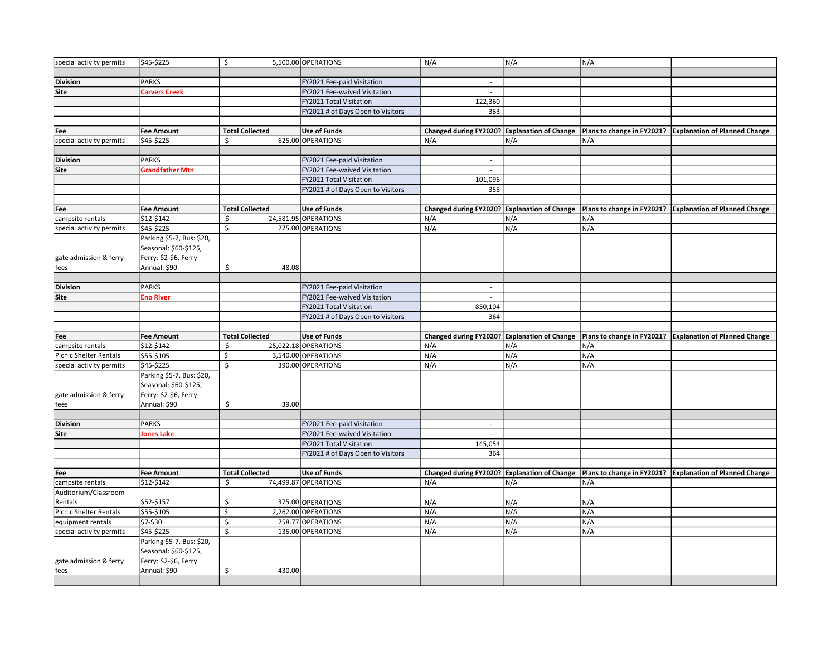| special activity permits      | \$45-\$225                | \$                      | 5,500.00 OPERATIONS               | N/A                                          | N/A | N/A |                                                                                                         |
|-------------------------------|---------------------------|-------------------------|-----------------------------------|----------------------------------------------|-----|-----|---------------------------------------------------------------------------------------------------------|
|                               |                           |                         |                                   |                                              |     |     |                                                                                                         |
| <b>Division</b>               | <b>PARKS</b>              |                         | FY2021 Fee-paid Visitation        | $\sim$                                       |     |     |                                                                                                         |
| <b>Site</b>                   | Carvers Creek             |                         | FY2021 Fee-waived Visitation      | $\overline{a}$                               |     |     |                                                                                                         |
|                               |                           |                         | FY2021 Total Visitation           | 122,360                                      |     |     |                                                                                                         |
|                               |                           |                         | FY2021 # of Days Open to Visitors | 363                                          |     |     |                                                                                                         |
|                               |                           |                         |                                   |                                              |     |     |                                                                                                         |
| Fee                           | <b>Fee Amount</b>         | <b>Total Collected</b>  | <b>Use of Funds</b>               | Changed during FY2020? Explanation of Change |     |     | Plans to change in FY2021? Explanation of Planned Change                                                |
| special activity permits      | \$45-\$225                | Ŝ.                      | 625.00 OPERATIONS                 | N/A                                          | N/A | N/A |                                                                                                         |
|                               |                           |                         |                                   |                                              |     |     |                                                                                                         |
| <b>Division</b>               | PARKS                     |                         | FY2021 Fee-paid Visitation        | $\sim$                                       |     |     |                                                                                                         |
| Site                          | <b>Grandfather Mtn</b>    |                         | FY2021 Fee-waived Visitation      |                                              |     |     |                                                                                                         |
|                               |                           |                         | FY2021 Total Visitation           | 101,096                                      |     |     |                                                                                                         |
|                               |                           |                         | FY2021 # of Days Open to Visitors | 358                                          |     |     |                                                                                                         |
|                               |                           |                         |                                   |                                              |     |     |                                                                                                         |
| Fee                           | <b>Fee Amount</b>         | <b>Total Collected</b>  | <b>Use of Funds</b>               | Changed during FY2020? Explanation of Change |     |     | Plans to change in FY2021?   Explanation of Planned Change                                              |
| campsite rentals              | \$12-\$142                | \$                      | 24,581.95 OPERATIONS              | N/A                                          | N/A | N/A |                                                                                                         |
| special activity permits      | \$45-\$225                | \$                      | 275.00 OPERATIONS                 | N/A                                          | N/A | N/A |                                                                                                         |
|                               | Parking \$5-7, Bus: \$20, |                         |                                   |                                              |     |     |                                                                                                         |
|                               | Seasonal: \$60-\$125,     |                         |                                   |                                              |     |     |                                                                                                         |
| gate admission & ferry        | Ferry: \$2-\$6, Ferry     |                         |                                   |                                              |     |     |                                                                                                         |
| fees                          | Annual: \$90              | 48.08<br>Ŝ.             |                                   |                                              |     |     |                                                                                                         |
|                               |                           |                         |                                   |                                              |     |     |                                                                                                         |
| <b>Division</b>               | <b>PARKS</b>              |                         | FY2021 Fee-paid Visitation        | $\sim$                                       |     |     |                                                                                                         |
| Site                          | <b>Eno River</b>          |                         | FY2021 Fee-waived Visitation      | $\sim$                                       |     |     |                                                                                                         |
|                               |                           |                         | FY2021 Total Visitation           | 850,104                                      |     |     |                                                                                                         |
|                               |                           |                         | FY2021 # of Days Open to Visitors | 364                                          |     |     |                                                                                                         |
|                               |                           |                         |                                   |                                              |     |     |                                                                                                         |
|                               |                           |                         |                                   |                                              |     |     |                                                                                                         |
| Fee                           | <b>Fee Amount</b>         | <b>Total Collected</b>  | <b>Use of Funds</b>               | Changed during FY2020? Explanation of Change |     |     | Plans to change in FY2021?   Explanation of Planned Change                                              |
| campsite rentals              | \$12-\$142                | \$                      | 25,022.18 OPERATIONS              | N/A                                          | N/A | N/A |                                                                                                         |
| <b>Picnic Shelter Rentals</b> | \$55-\$105                | \$                      | 3,540.00 OPERATIONS               | N/A                                          | N/A | N/A |                                                                                                         |
| special activity permits      | \$45-\$225                | $\overline{\mathsf{s}}$ | 390.00 OPERATIONS                 | N/A                                          | N/A | N/A |                                                                                                         |
|                               | Parking \$5-7, Bus: \$20, |                         |                                   |                                              |     |     |                                                                                                         |
|                               | Seasonal: \$60-\$125,     |                         |                                   |                                              |     |     |                                                                                                         |
| gate admission & ferry        | Ferry: \$2-\$6, Ferry     |                         |                                   |                                              |     |     |                                                                                                         |
| fees                          | Annual: \$90              | 39.00<br>\$             |                                   |                                              |     |     |                                                                                                         |
|                               |                           |                         |                                   |                                              |     |     |                                                                                                         |
| <b>Division</b>               | <b>PARKS</b>              |                         | FY2021 Fee-paid Visitation        | $\sim$                                       |     |     |                                                                                                         |
| <b>Site</b>                   | <b>Jones Lake</b>         |                         | FY2021 Fee-waived Visitation      | $\blacksquare$                               |     |     |                                                                                                         |
|                               |                           |                         | FY2021 Total Visitation           | 145,054                                      |     |     |                                                                                                         |
|                               |                           |                         | FY2021 # of Days Open to Visitors | 364                                          |     |     |                                                                                                         |
|                               |                           |                         |                                   |                                              |     |     |                                                                                                         |
| Fee                           | Fee Amount                | <b>Total Collected</b>  | <b>Use of Funds</b>               |                                              |     |     | Changed during FY2020? Explanation of Change   Plans to change in FY2021? Explanation of Planned Change |
| campsite rentals              | \$12-\$142                | Ŝ.                      | 74,499.87 OPERATIONS              | N/A                                          | N/A | N/A |                                                                                                         |
| Auditorium/Classroom          |                           |                         |                                   |                                              |     |     |                                                                                                         |
| Rentals                       | \$52-\$157                | S.                      | 375.00 OPERATIONS                 | N/A                                          | N/A | N/A |                                                                                                         |
| <b>Picnic Shelter Rentals</b> | \$55-\$105                | \$                      | 2,262.00 OPERATIONS               | N/A                                          | N/A | N/A |                                                                                                         |
| equipment rentals             | \$7-\$30                  | $\mathsf{\mathsf{S}}$   | 758.77 OPERATIONS                 | N/A                                          | N/A | N/A |                                                                                                         |
| special activity permits      | \$45-\$225                | \$                      | 135.00 OPERATIONS                 | N/A                                          | N/A | N/A |                                                                                                         |
|                               | Parking \$5-7, Bus: \$20, |                         |                                   |                                              |     |     |                                                                                                         |
|                               | Seasonal: \$60-\$125,     |                         |                                   |                                              |     |     |                                                                                                         |
| gate admission & ferry        | Ferry: \$2-\$6, Ferry     |                         |                                   |                                              |     |     |                                                                                                         |
| fees                          | Annual: \$90              | \$<br>430.00            |                                   |                                              |     |     |                                                                                                         |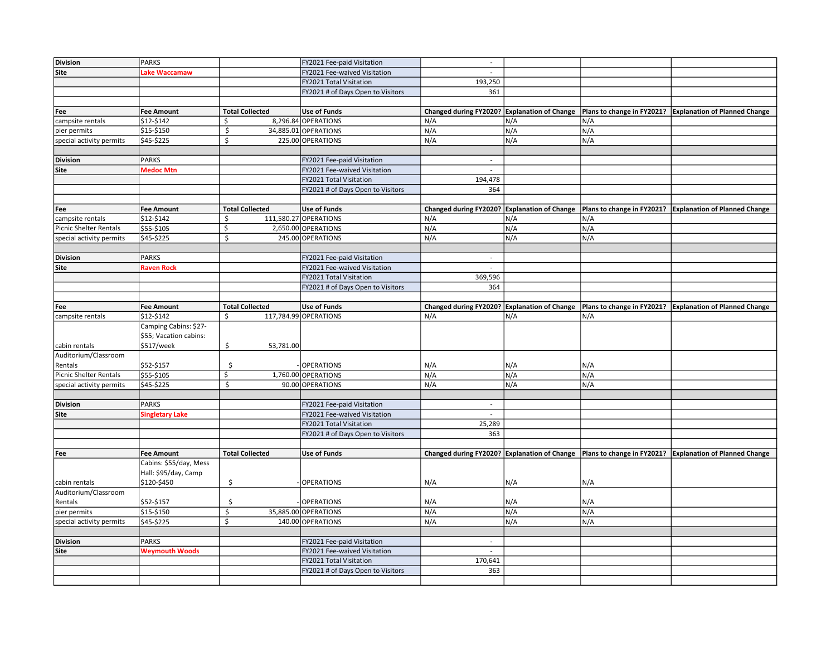| <b>Division</b>          | <b>PARKS</b>            |                         | FY2021 Fee-paid Visitation        | $\sim$                                       |                              |                            |                                                                                                           |
|--------------------------|-------------------------|-------------------------|-----------------------------------|----------------------------------------------|------------------------------|----------------------------|-----------------------------------------------------------------------------------------------------------|
| Site                     | Lake Waccamaw           |                         | FY2021 Fee-waived Visitation      | $\sim$                                       |                              |                            |                                                                                                           |
|                          |                         |                         | FY2021 Total Visitation           | 193,250                                      |                              |                            |                                                                                                           |
|                          |                         |                         | FY2021 # of Days Open to Visitors | 361                                          |                              |                            |                                                                                                           |
|                          |                         |                         |                                   |                                              |                              |                            |                                                                                                           |
| Fee                      | <b>Fee Amount</b>       | <b>Total Collected</b>  | <b>Use of Funds</b>               | Changed during FY2020? Explanation of Change |                              |                            | Plans to change in FY2021?   Explanation of Planned Change                                                |
| campsite rentals         | \$12-\$142              | \$                      | 8,296.84 OPERATIONS               | N/A                                          | N/A                          | N/A                        |                                                                                                           |
| pier permits             | $\overline{$}15 - $150$ | \$                      | 34,885.01 OPERATIONS              | N/A                                          | N/A                          | N/A                        |                                                                                                           |
| special activity permits | \$45-\$225              | \$                      | 225.00 OPERATIONS                 | N/A                                          | N/A                          | N/A                        |                                                                                                           |
|                          |                         |                         |                                   |                                              |                              |                            |                                                                                                           |
| <b>Division</b>          | <b>PARKS</b>            |                         | FY2021 Fee-paid Visitation        | $\blacksquare$                               |                              |                            |                                                                                                           |
| Site                     | Medoc Mtn               |                         | FY2021 Fee-waived Visitation      |                                              |                              |                            |                                                                                                           |
|                          |                         |                         | FY2021 Total Visitation           | 194,478                                      |                              |                            |                                                                                                           |
|                          |                         |                         | FY2021 # of Days Open to Visitors | 364                                          |                              |                            |                                                                                                           |
|                          |                         |                         |                                   |                                              |                              |                            |                                                                                                           |
| Fee                      | <b>Fee Amount</b>       | <b>Total Collected</b>  | <b>Use of Funds</b>               | Changed during FY2020? Explanation of Change |                              |                            | Plans to change in FY2021? Explanation of Planned Change                                                  |
| campsite rentals         | \$12-\$142              | \$                      | 111,580.27 OPERATIONS             | N/A                                          | N/A                          | N/A                        |                                                                                                           |
| Picnic Shelter Rentals   | \$55-\$105              | \$                      | 2,650.00 OPERATIONS               | N/A                                          | N/A                          | N/A                        |                                                                                                           |
| special activity permits | \$45-\$225              | \$                      | 245.00 OPERATIONS                 | N/A                                          | N/A                          | N/A                        |                                                                                                           |
|                          |                         |                         |                                   |                                              |                              |                            |                                                                                                           |
| <b>Division</b>          | <b>PARKS</b>            |                         | FY2021 Fee-paid Visitation        | $\overline{\phantom{a}}$                     |                              |                            |                                                                                                           |
| Site                     | <b>Raven Rock</b>       |                         | FY2021 Fee-waived Visitation      | $\mathcal{L}^{\mathcal{A}}$                  |                              |                            |                                                                                                           |
|                          |                         |                         | FY2021 Total Visitation           | 369,596                                      |                              |                            |                                                                                                           |
|                          |                         |                         | FY2021 # of Days Open to Visitors | 364                                          |                              |                            |                                                                                                           |
|                          |                         |                         |                                   |                                              |                              |                            |                                                                                                           |
| Fee                      | <b>Fee Amount</b>       | <b>Total Collected</b>  | <b>Use of Funds</b>               | Changed during FY2020?                       | <b>Explanation of Change</b> | Plans to change in FY2021? | <b>Explanation of Planned Change</b>                                                                      |
| campsite rentals         | \$12-\$142              | \$                      | 117,784.99 OPERATIONS             | N/A                                          | N/A                          | N/A                        |                                                                                                           |
|                          | Camping Cabins: \$27-   |                         |                                   |                                              |                              |                            |                                                                                                           |
|                          | \$55; Vacation cabins:  |                         |                                   |                                              |                              |                            |                                                                                                           |
| cabin rentals            | \$517/week              | \$<br>53,781.00         |                                   |                                              |                              |                            |                                                                                                           |
| Auditorium/Classroom     |                         |                         |                                   |                                              |                              |                            |                                                                                                           |
| Rentals                  | \$52-\$157              | \$                      | <b>OPERATIONS</b>                 | N/A                                          | N/A                          | N/A                        |                                                                                                           |
| Picnic Shelter Rentals   | \$55-\$105              | \$                      | 1,760.00 OPERATIONS               | N/A                                          | N/A                          | N/A                        |                                                                                                           |
| special activity permits | \$45-\$225              | Ś.                      | 90.00 OPERATIONS                  | N/A                                          | N/A                          | N/A                        |                                                                                                           |
|                          |                         |                         |                                   |                                              |                              |                            |                                                                                                           |
| <b>Division</b>          | <b>PARKS</b>            |                         | FY2021 Fee-paid Visitation        | $\sim$<br>$\omega$                           |                              |                            |                                                                                                           |
| Site                     | Singletary Lake         |                         | FY2021 Fee-waived Visitation      |                                              |                              |                            |                                                                                                           |
|                          |                         |                         | FY2021 Total Visitation           | 25,289<br>363                                |                              |                            |                                                                                                           |
|                          |                         |                         | FY2021 # of Days Open to Visitors |                                              |                              |                            |                                                                                                           |
| Fee                      | <b>Fee Amount</b>       | <b>Total Collected</b>  | <b>Use of Funds</b>               |                                              |                              |                            | Changed during FY2020? Explanation of Change   Plans to change in FY2021?   Explanation of Planned Change |
|                          | Cabins: \$55/day, Mess  |                         |                                   |                                              |                              |                            |                                                                                                           |
|                          | Hall: \$95/day, Camp    |                         |                                   |                                              |                              |                            |                                                                                                           |
| cabin rentals            | \$120-\$450             | \$                      | <b>OPERATIONS</b>                 | N/A                                          | N/A                          | N/A                        |                                                                                                           |
| Auditorium/Classroom     |                         |                         |                                   |                                              |                              |                            |                                                                                                           |
| Rentals                  | \$52-\$157              | \$                      | <b>OPERATIONS</b>                 | N/A                                          | N/A                          | N/A                        |                                                                                                           |
| pier permits             | \$15-\$150              | \$                      | 35,885.00 OPERATIONS              | N/A                                          | N/A                          | N/A                        |                                                                                                           |
| special activity permits | \$45-\$225              | $\overline{\mathsf{s}}$ | 140.00 OPERATIONS                 | N/A                                          | N/A                          | N/A                        |                                                                                                           |
|                          |                         |                         |                                   |                                              |                              |                            |                                                                                                           |
| <b>Division</b>          | <b>PARKS</b>            |                         | FY2021 Fee-paid Visitation        | $\sim$                                       |                              |                            |                                                                                                           |
| Site                     | <b>Weymouth Woods</b>   |                         | FY2021 Fee-waived Visitation      | $\overline{a}$                               |                              |                            |                                                                                                           |
|                          |                         |                         | FY2021 Total Visitation           | 170,641                                      |                              |                            |                                                                                                           |
|                          |                         |                         | FY2021 # of Days Open to Visitors | 363                                          |                              |                            |                                                                                                           |
|                          |                         |                         |                                   |                                              |                              |                            |                                                                                                           |
|                          |                         |                         |                                   |                                              |                              |                            |                                                                                                           |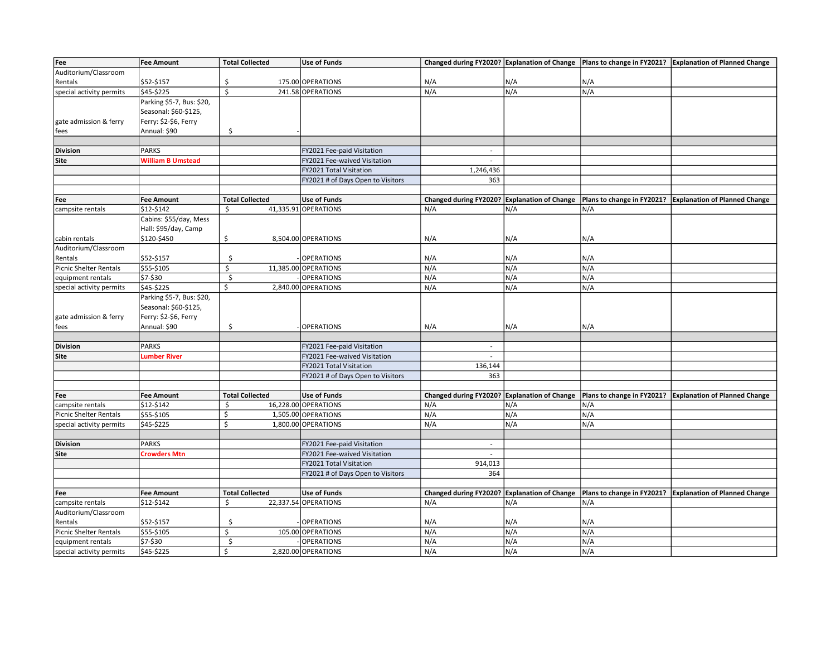| Fee                           | Fee Amount                | <b>Total Collected</b>  | <b>Use of Funds</b>               |                                              |     |     | Changed during FY2020? Explanation of Change   Plans to change in FY2021? Explanation of Planned Change |
|-------------------------------|---------------------------|-------------------------|-----------------------------------|----------------------------------------------|-----|-----|---------------------------------------------------------------------------------------------------------|
| Auditorium/Classroom          |                           |                         |                                   |                                              |     |     |                                                                                                         |
| Rentals                       | \$52-\$157                | \$                      | 175.00 OPERATIONS                 | N/A                                          | N/A | N/A |                                                                                                         |
| special activity permits      | \$45-\$225                | $\overline{\mathsf{S}}$ | 241.58 OPERATIONS                 | N/A                                          | N/A | N/A |                                                                                                         |
|                               | Parking \$5-7, Bus: \$20, |                         |                                   |                                              |     |     |                                                                                                         |
|                               | Seasonal: \$60-\$125,     |                         |                                   |                                              |     |     |                                                                                                         |
|                               |                           |                         |                                   |                                              |     |     |                                                                                                         |
| gate admission & ferry        | Ferry: \$2-\$6, Ferry     |                         |                                   |                                              |     |     |                                                                                                         |
| fees                          | Annual: \$90              | \$                      |                                   |                                              |     |     |                                                                                                         |
|                               |                           |                         |                                   |                                              |     |     |                                                                                                         |
| <b>Division</b>               | <b>PARKS</b>              |                         | FY2021 Fee-paid Visitation        | $\sim$                                       |     |     |                                                                                                         |
| <b>Site</b>                   | <b>William B Umstead</b>  |                         | FY2021 Fee-waived Visitation      | $\sim$                                       |     |     |                                                                                                         |
|                               |                           |                         | FY2021 Total Visitation           | 1,246,436                                    |     |     |                                                                                                         |
|                               |                           |                         | FY2021 # of Days Open to Visitors | 363                                          |     |     |                                                                                                         |
|                               |                           |                         |                                   |                                              |     |     |                                                                                                         |
| Fee                           | <b>Fee Amount</b>         | <b>Total Collected</b>  | <b>Use of Funds</b>               | Changed during FY2020? Explanation of Change |     |     | Plans to change in FY2021? Explanation of Planned Change                                                |
| campsite rentals              | \$12-\$142                | \$                      | 41,335.91 OPERATIONS              | N/A                                          | N/A | N/A |                                                                                                         |
|                               | Cabins: \$55/day, Mess    |                         |                                   |                                              |     |     |                                                                                                         |
|                               | Hall: \$95/day, Camp      |                         |                                   |                                              |     |     |                                                                                                         |
| cabin rentals                 | \$120-\$450               | \$                      | 8,504.00 OPERATIONS               | N/A                                          | N/A | N/A |                                                                                                         |
| Auditorium/Classroom          |                           |                         |                                   |                                              |     |     |                                                                                                         |
| Rentals                       | \$52-\$157                | \$                      | <b>OPERATIONS</b>                 | N/A                                          | N/A | N/A |                                                                                                         |
| <b>Picnic Shelter Rentals</b> | \$55-\$105                | \$                      | 11,385.00 OPERATIONS              | N/A                                          | N/A | N/A |                                                                                                         |
| equipment rentals             | \$7-\$30                  | $\ddot{\mathsf{S}}$     | <b>OPERATIONS</b>                 | N/A                                          | N/A | N/A |                                                                                                         |
| special activity permits      | \$45-\$225                | \$                      | 2,840.00 OPERATIONS               | N/A                                          | N/A | N/A |                                                                                                         |
|                               | Parking \$5-7, Bus: \$20, |                         |                                   |                                              |     |     |                                                                                                         |
|                               | Seasonal: \$60-\$125,     |                         |                                   |                                              |     |     |                                                                                                         |
|                               |                           |                         |                                   |                                              |     |     |                                                                                                         |
| gate admission & ferry        | Ferry: \$2-\$6, Ferry     |                         |                                   |                                              |     |     |                                                                                                         |
| fees                          | Annual: \$90              | \$                      | <b>OPERATIONS</b>                 | N/A                                          | N/A | N/A |                                                                                                         |
|                               |                           |                         |                                   |                                              |     |     |                                                                                                         |
| <b>Division</b>               | <b>PARKS</b>              |                         | FY2021 Fee-paid Visitation        | $\sim$                                       |     |     |                                                                                                         |
| <b>Site</b>                   | <b>Lumber River</b>       |                         | FY2021 Fee-waived Visitation      | $\mathbf{r}$                                 |     |     |                                                                                                         |
|                               |                           |                         | FY2021 Total Visitation           | 136,144                                      |     |     |                                                                                                         |
|                               |                           |                         | FY2021 # of Days Open to Visitors | 363                                          |     |     |                                                                                                         |
|                               |                           |                         |                                   |                                              |     |     |                                                                                                         |
| Fee                           | <b>Fee Amount</b>         | <b>Total Collected</b>  | <b>Use of Funds</b>               | Changed during FY2020? Explanation of Change |     |     | Plans to change in FY2021?   Explanation of Planned Change                                              |
| campsite rentals              | \$12-\$142                | \$                      | 16,228.00 OPERATIONS              | N/A                                          | N/A | N/A |                                                                                                         |
| <b>Picnic Shelter Rentals</b> | \$55-\$105                | \$                      | 1,505.00 OPERATIONS               | N/A                                          | N/A | N/A |                                                                                                         |
| special activity permits      | \$45-\$225                | Ś.                      | 1,800.00 OPERATIONS               | N/A                                          | N/A | N/A |                                                                                                         |
|                               |                           |                         |                                   |                                              |     |     |                                                                                                         |
| <b>Division</b>               | <b>PARKS</b>              |                         | FY2021 Fee-paid Visitation        | $\overline{\phantom{a}}$                     |     |     |                                                                                                         |
| <b>Site</b>                   | <b>Crowders Mtn</b>       |                         | FY2021 Fee-waived Visitation      | $\mathcal{L}_{\mathcal{A}}$                  |     |     |                                                                                                         |
|                               |                           |                         | FY2021 Total Visitation           | 914,013                                      |     |     |                                                                                                         |
|                               |                           |                         | FY2021 # of Days Open to Visitors | 364                                          |     |     |                                                                                                         |
|                               |                           |                         |                                   |                                              |     |     |                                                                                                         |
| Fee                           | <b>Fee Amount</b>         | <b>Total Collected</b>  | <b>Use of Funds</b>               | Changed during FY2020? Explanation of Change |     |     | Plans to change in FY2021? Explanation of Planned Change                                                |
| campsite rentals              | \$12-\$142                | \$                      | 22,337.54 OPERATIONS              | N/A                                          | N/A | N/A |                                                                                                         |
| Auditorium/Classroom          |                           |                         |                                   |                                              |     |     |                                                                                                         |
| Rentals                       | \$52-\$157                | \$                      | <b>OPERATIONS</b>                 | N/A                                          | N/A | N/A |                                                                                                         |
| Picnic Shelter Rentals        | \$55-\$105                | \$                      | 105.00 OPERATIONS                 | N/A                                          | N/A | N/A |                                                                                                         |
| equipment rentals             | \$7-\$30                  | $\sf S$                 | <b>OPERATIONS</b>                 | N/A                                          | N/A | N/A |                                                                                                         |
| special activity permits      | \$45-\$225                | \$                      | 2,820.00 OPERATIONS               | N/A                                          | N/A | N/A |                                                                                                         |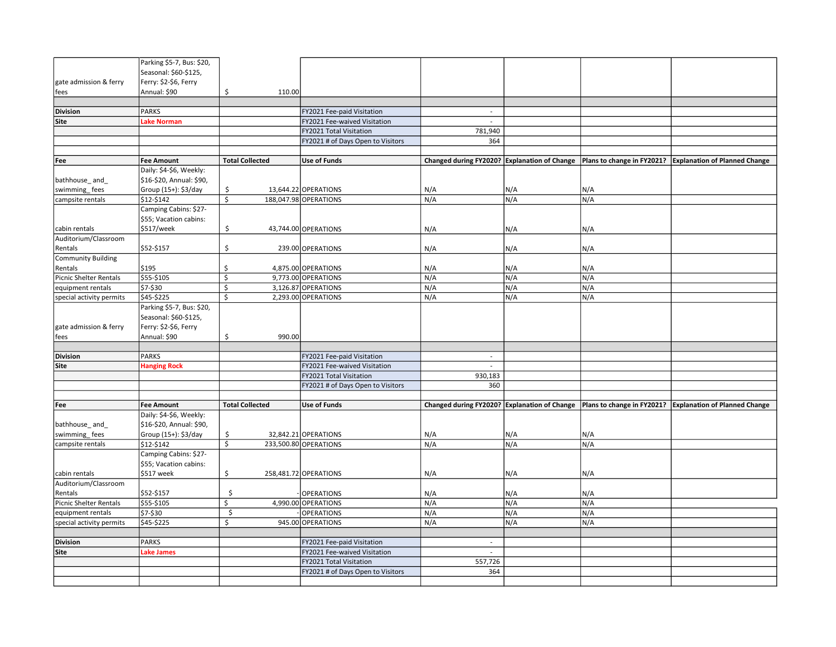|                               | Parking \$5-7, Bus: \$20, |                         |                                   |                                              |     |     |                                                                                                           |
|-------------------------------|---------------------------|-------------------------|-----------------------------------|----------------------------------------------|-----|-----|-----------------------------------------------------------------------------------------------------------|
|                               | Seasonal: \$60-\$125,     |                         |                                   |                                              |     |     |                                                                                                           |
| gate admission & ferry        | Ferry: \$2-\$6, Ferry     |                         |                                   |                                              |     |     |                                                                                                           |
| fees                          | Annual: \$90              | \$<br>110.00            |                                   |                                              |     |     |                                                                                                           |
|                               |                           |                         |                                   |                                              |     |     |                                                                                                           |
| <b>Division</b>               | <b>PARKS</b>              |                         | FY2021 Fee-paid Visitation        | $\sim$                                       |     |     |                                                                                                           |
| Site                          | ake Norman                |                         | FY2021 Fee-waived Visitation      | $\overline{\phantom{a}}$                     |     |     |                                                                                                           |
|                               |                           |                         | FY2021 Total Visitation           | 781,940                                      |     |     |                                                                                                           |
|                               |                           |                         | FY2021 # of Days Open to Visitors | 364                                          |     |     |                                                                                                           |
|                               |                           |                         |                                   |                                              |     |     |                                                                                                           |
| Fee                           | <b>Fee Amount</b>         | <b>Total Collected</b>  | <b>Use of Funds</b>               |                                              |     |     | Changed during FY2020? Explanation of Change   Plans to change in FY2021?   Explanation of Planned Change |
|                               | Daily: \$4-\$6, Weekly:   |                         |                                   |                                              |     |     |                                                                                                           |
| bathhouse_and_                | \$16-\$20, Annual: \$90,  |                         |                                   |                                              |     |     |                                                                                                           |
| swimming_fees                 | Group (15+): \$3/day      | \$                      | 13,644.22 OPERATIONS              | N/A                                          | N/A | N/A |                                                                                                           |
| campsite rentals              | \$12-\$142                | \$                      | 188,047.98 OPERATIONS             | N/A                                          | N/A | N/A |                                                                                                           |
|                               | Camping Cabins: \$27-     |                         |                                   |                                              |     |     |                                                                                                           |
|                               | \$55; Vacation cabins:    |                         |                                   |                                              |     |     |                                                                                                           |
| cabin rentals                 | \$517/week                | \$                      | 43,744.00 OPERATIONS              | N/A                                          | N/A | N/A |                                                                                                           |
| Auditorium/Classroom          |                           |                         |                                   |                                              |     |     |                                                                                                           |
| Rentals                       | \$52-\$157                | \$                      | 239.00 OPERATIONS                 | N/A                                          | N/A | N/A |                                                                                                           |
| <b>Community Building</b>     |                           |                         |                                   |                                              |     |     |                                                                                                           |
| Rentals                       | \$195                     | \$                      | 4,875.00 OPERATIONS               | N/A                                          | N/A | N/A |                                                                                                           |
| <b>Picnic Shelter Rentals</b> | \$55-\$105                | \$                      | 9,773.00 OPERATIONS               | N/A                                          | N/A | N/A |                                                                                                           |
| equipment rentals             | \$7-\$30                  | \$                      | 3,126.87 OPERATIONS               | N/A                                          | N/A | N/A |                                                                                                           |
| special activity permits      | \$45-\$225                | $\overline{\mathsf{S}}$ | 2,293.00 OPERATIONS               | N/A                                          | N/A | N/A |                                                                                                           |
|                               | Parking \$5-7, Bus: \$20, |                         |                                   |                                              |     |     |                                                                                                           |
|                               | Seasonal: \$60-\$125,     |                         |                                   |                                              |     |     |                                                                                                           |
| gate admission & ferry        | Ferry: \$2-\$6, Ferry     |                         |                                   |                                              |     |     |                                                                                                           |
| fees                          | Annual: \$90              | 990.00<br>\$            |                                   |                                              |     |     |                                                                                                           |
|                               |                           |                         |                                   |                                              |     |     |                                                                                                           |
| <b>Division</b>               | <b>PARKS</b>              |                         | FY2021 Fee-paid Visitation        | $\sim$                                       |     |     |                                                                                                           |
| Site                          | <b>Hanging Rock</b>       |                         | FY2021 Fee-waived Visitation      | $\overline{\phantom{a}}$                     |     |     |                                                                                                           |
|                               |                           |                         | FY2021 Total Visitation           | 930,183                                      |     |     |                                                                                                           |
|                               |                           |                         | FY2021 # of Days Open to Visitors | 360                                          |     |     |                                                                                                           |
|                               |                           |                         |                                   |                                              |     |     |                                                                                                           |
| Fee                           | <b>Fee Amount</b>         | <b>Total Collected</b>  | <b>Use of Funds</b>               | Changed during FY2020? Explanation of Change |     |     | Plans to change in FY2021? Explanation of Planned Change                                                  |
|                               | Daily: \$4-\$6, Weekly:   |                         |                                   |                                              |     |     |                                                                                                           |
| bathhouse and                 | \$16-\$20, Annual: \$90,  |                         |                                   |                                              |     |     |                                                                                                           |
| swimming_fees                 | Group (15+): \$3/day      | \$                      | 32,842.21 OPERATIONS              | N/A                                          | N/A | N/A |                                                                                                           |
| campsite rentals              | \$12-\$142                | \$                      | 233,500.80 OPERATIONS             | N/A                                          | N/A | N/A |                                                                                                           |
|                               | Camping Cabins: \$27-     |                         |                                   |                                              |     |     |                                                                                                           |
|                               | \$55; Vacation cabins:    |                         |                                   |                                              |     |     |                                                                                                           |
| cabin rentals                 | \$517 week                | \$                      | 258,481.72 OPERATIONS             | N/A                                          | N/A | N/A |                                                                                                           |
| Auditorium/Classroom          |                           |                         |                                   |                                              |     |     |                                                                                                           |
| Rentals                       | \$52-\$157                | \$                      | <b>OPERATIONS</b>                 | N/A                                          | N/A | N/A |                                                                                                           |
| <b>Picnic Shelter Rentals</b> | \$55-\$105                | \$                      | 4,990.00 OPERATIONS               | N/A                                          | N/A | N/A |                                                                                                           |
| equipment rentals             | \$7-\$30                  | $\zeta$                 | <b>OPERATIONS</b>                 | N/A                                          | N/A | N/A |                                                                                                           |
| special activity permits      | \$45-\$225                | \$                      | 945.00 OPERATIONS                 | N/A                                          | N/A | N/A |                                                                                                           |
|                               |                           |                         |                                   |                                              |     |     |                                                                                                           |
| <b>Division</b>               | <b>PARKS</b>              |                         | FY2021 Fee-paid Visitation        | $\overline{\phantom{a}}$                     |     |     |                                                                                                           |
| Site                          | Lake James                |                         | FY2021 Fee-waived Visitation      | ÷                                            |     |     |                                                                                                           |
|                               |                           |                         | FY2021 Total Visitation           | 557,726                                      |     |     |                                                                                                           |
|                               |                           |                         | FY2021 # of Days Open to Visitors | 364                                          |     |     |                                                                                                           |
|                               |                           |                         |                                   |                                              |     |     |                                                                                                           |
|                               |                           |                         |                                   |                                              |     |     |                                                                                                           |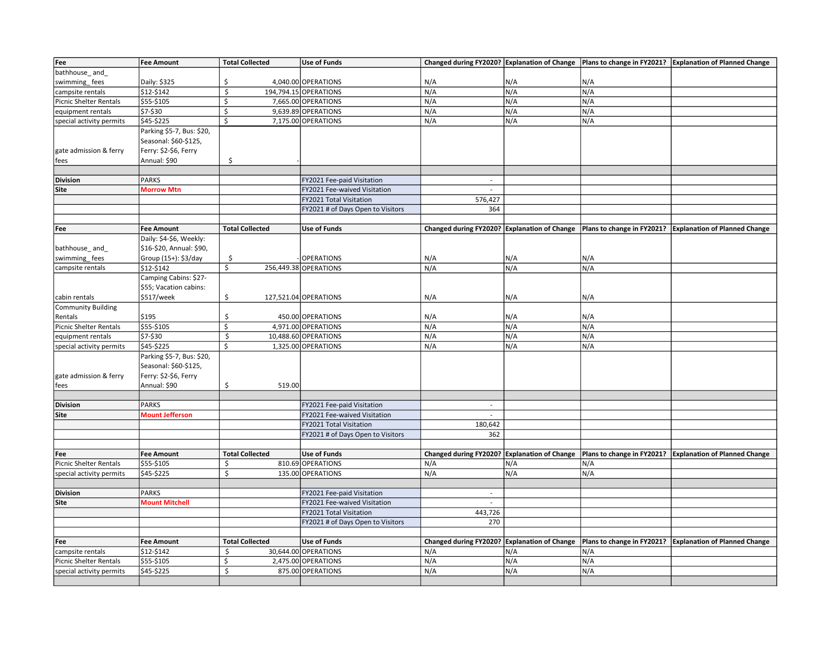| Fee                           | <b>Fee Amount</b>         | <b>Total Collected</b> | <b>Use of Funds</b>               |                                              |     |                            | Changed during FY2020? Explanation of Change   Plans to change in FY2021?   Explanation of Planned Change |
|-------------------------------|---------------------------|------------------------|-----------------------------------|----------------------------------------------|-----|----------------------------|-----------------------------------------------------------------------------------------------------------|
| bathhouse_and                 |                           |                        |                                   |                                              |     |                            |                                                                                                           |
| swimming_fees                 | Daily: \$325              | \$                     | 4,040.00 OPERATIONS               | N/A                                          | N/A | N/A                        |                                                                                                           |
| campsite rentals              | \$12-\$142                | \$                     | 194,794.15 OPERATIONS             | N/A                                          | N/A | N/A                        |                                                                                                           |
| <b>Picnic Shelter Rentals</b> | \$55-\$105                | \$                     | 7,665.00 OPERATIONS               | N/A                                          | N/A | N/A                        |                                                                                                           |
| equipment rentals             | \$7-\$30                  | \$                     | 9,639.89 OPERATIONS               | N/A                                          | N/A | N/A                        |                                                                                                           |
| special activity permits      | \$45-\$225                | \$                     | 7,175.00 OPERATIONS               | N/A                                          | N/A | N/A                        |                                                                                                           |
|                               |                           |                        |                                   |                                              |     |                            |                                                                                                           |
|                               | Parking \$5-7, Bus: \$20, |                        |                                   |                                              |     |                            |                                                                                                           |
|                               | Seasonal: \$60-\$125,     |                        |                                   |                                              |     |                            |                                                                                                           |
| gate admission & ferry        | Ferry: \$2-\$6, Ferry     |                        |                                   |                                              |     |                            |                                                                                                           |
| fees                          | Annual: \$90              | \$                     |                                   |                                              |     |                            |                                                                                                           |
|                               |                           |                        |                                   |                                              |     |                            |                                                                                                           |
| <b>Division</b>               | <b>PARKS</b>              |                        | FY2021 Fee-paid Visitation        | $\overline{\phantom{a}}$                     |     |                            |                                                                                                           |
| Site                          | <b>Morrow Mtn</b>         |                        | FY2021 Fee-waived Visitation      | $\mathcal{L}_{\mathcal{A}}$                  |     |                            |                                                                                                           |
|                               |                           |                        | FY2021 Total Visitation           | 576,427                                      |     |                            |                                                                                                           |
|                               |                           |                        | FY2021 # of Days Open to Visitors | 364                                          |     |                            |                                                                                                           |
|                               |                           |                        |                                   |                                              |     |                            |                                                                                                           |
| Fee                           | <b>Fee Amount</b>         | <b>Total Collected</b> | <b>Use of Funds</b>               | Changed during FY2020? Explanation of Change |     | Plans to change in FY2021? | <b>Explanation of Planned Change</b>                                                                      |
|                               | Daily: \$4-\$6, Weekly:   |                        |                                   |                                              |     |                            |                                                                                                           |
| bathhouse and                 | \$16-\$20, Annual: \$90,  |                        |                                   |                                              |     |                            |                                                                                                           |
| swimming_fees                 | Group (15+): \$3/day      | \$                     | <b>OPERATIONS</b>                 | N/A                                          | N/A | N/A                        |                                                                                                           |
| campsite rentals              | \$12-\$142                | \$                     | 256,449.38 OPERATIONS             | N/A                                          | N/A | N/A                        |                                                                                                           |
|                               | Camping Cabins: \$27-     |                        |                                   |                                              |     |                            |                                                                                                           |
|                               | \$55; Vacation cabins:    |                        |                                   |                                              |     |                            |                                                                                                           |
| cabin rentals                 | \$517/week                | \$                     | 127,521.04 OPERATIONS             | N/A                                          | N/A | N/A                        |                                                                                                           |
| <b>Community Building</b>     |                           |                        |                                   |                                              |     |                            |                                                                                                           |
| Rentals                       | \$195                     | \$                     | 450.00 OPERATIONS                 | N/A                                          | N/A | N/A                        |                                                                                                           |
| Picnic Shelter Rentals        | \$55-\$105                | \$                     | 4,971.00 OPERATIONS               | N/A                                          | N/A | N/A                        |                                                                                                           |
| equipment rentals             | \$7-\$30                  | \$                     | 10,488.60 OPERATIONS              | N/A                                          | N/A | N/A                        |                                                                                                           |
| special activity permits      | \$45-\$225                | \$                     | 1,325.00 OPERATIONS               | N/A                                          | N/A | N/A                        |                                                                                                           |
|                               | Parking \$5-7, Bus: \$20, |                        |                                   |                                              |     |                            |                                                                                                           |
|                               | Seasonal: \$60-\$125,     |                        |                                   |                                              |     |                            |                                                                                                           |
|                               |                           |                        |                                   |                                              |     |                            |                                                                                                           |
| gate admission & ferry        | Ferry: \$2-\$6, Ferry     |                        |                                   |                                              |     |                            |                                                                                                           |
| fees                          | Annual: \$90              | \$<br>519.00           |                                   |                                              |     |                            |                                                                                                           |
|                               |                           |                        |                                   |                                              |     |                            |                                                                                                           |
| <b>Division</b>               | <b>PARKS</b>              |                        | FY2021 Fee-paid Visitation        | $\overline{\phantom{a}}$                     |     |                            |                                                                                                           |
| Site                          | <b>Mount Jefferson</b>    |                        | FY2021 Fee-waived Visitation      | $\sim$                                       |     |                            |                                                                                                           |
|                               |                           |                        | FY2021 Total Visitation           | 180,642                                      |     |                            |                                                                                                           |
|                               |                           |                        | FY2021 # of Days Open to Visitors | 362                                          |     |                            |                                                                                                           |
|                               |                           |                        |                                   |                                              |     |                            |                                                                                                           |
| Fee                           | <b>Fee Amount</b>         | <b>Total Collected</b> | <b>Use of Funds</b>               | Changed during FY2020? Explanation of Change |     |                            | Plans to change in FY2021?   Explanation of Planned Change                                                |
| Picnic Shelter Rentals        | \$55-\$105                | Ś                      | 810.69 OPERATIONS                 | N/A                                          | N/A | N/A                        |                                                                                                           |
| special activity permits      | \$45-\$225                | \$                     | 135.00 OPERATIONS                 | N/A                                          | N/A | N/A                        |                                                                                                           |
|                               |                           |                        |                                   |                                              |     |                            |                                                                                                           |
| <b>Division</b>               | <b>PARKS</b>              |                        | FY2021 Fee-paid Visitation        | $\sim$                                       |     |                            |                                                                                                           |
| Site                          | <b>Mount Mitchell</b>     |                        | FY2021 Fee-waived Visitation      | $\sim$                                       |     |                            |                                                                                                           |
|                               |                           |                        | FY2021 Total Visitation           | 443,726                                      |     |                            |                                                                                                           |
|                               |                           |                        | FY2021 # of Days Open to Visitors | 270                                          |     |                            |                                                                                                           |
|                               |                           |                        |                                   |                                              |     |                            |                                                                                                           |
| Fee                           | <b>Fee Amount</b>         | <b>Total Collected</b> | <b>Use of Funds</b>               | Changed during FY2020? Explanation of Change |     |                            | Plans to change in FY2021? Explanation of Planned Change                                                  |
| campsite rentals              | \$12-\$142                | \$                     | 30,644.00 OPERATIONS              | N/A                                          | N/A | N/A                        |                                                                                                           |
| Picnic Shelter Rentals        | \$55-\$105                | \$                     | 2,475.00 OPERATIONS               | N/A                                          | N/A | N/A                        |                                                                                                           |
| special activity permits      | \$45-\$225                | $\mathsf{\hat{S}}$     | 875.00 OPERATIONS                 | N/A                                          | N/A | N/A                        |                                                                                                           |
|                               |                           |                        |                                   |                                              |     |                            |                                                                                                           |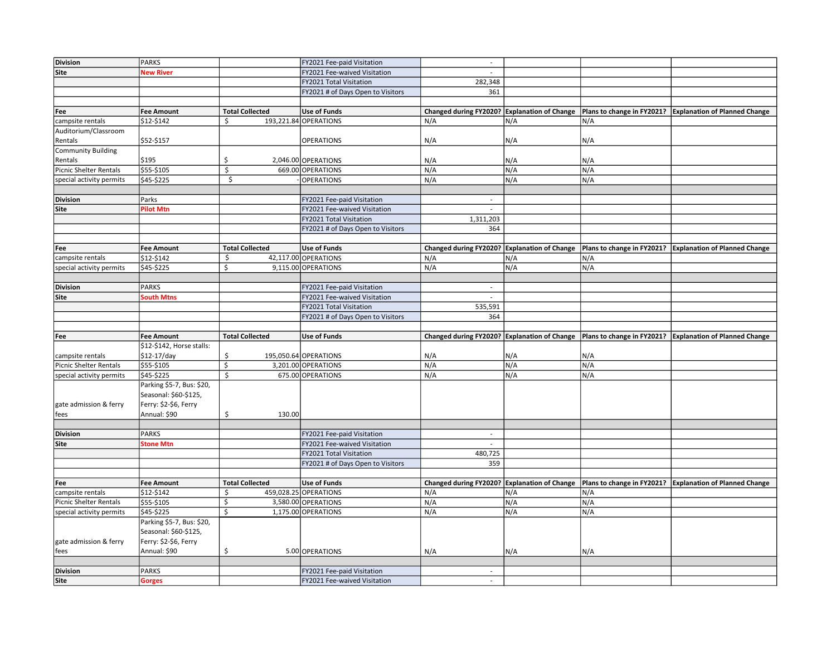| <b>Division</b>                | PARKS                                 |                         | FY2021 Fee-paid Visitation                                 | $\sim$                      |                              |                            |                                                                                                           |
|--------------------------------|---------------------------------------|-------------------------|------------------------------------------------------------|-----------------------------|------------------------------|----------------------------|-----------------------------------------------------------------------------------------------------------|
| <b>Site</b>                    | <b>New River</b>                      |                         | FY2021 Fee-waived Visitation                               | $\sim$                      |                              |                            |                                                                                                           |
|                                |                                       |                         | FY2021 Total Visitation                                    | 282,348                     |                              |                            |                                                                                                           |
|                                |                                       |                         | FY2021 # of Days Open to Visitors                          | 361                         |                              |                            |                                                                                                           |
|                                |                                       |                         |                                                            |                             |                              |                            |                                                                                                           |
| Fee                            | <b>Fee Amount</b>                     | <b>Total Collected</b>  | <b>Use of Funds</b>                                        | Changed during FY2020?      | <b>Explanation of Change</b> |                            | Plans to change in FY2021?   Explanation of Planned Change                                                |
| campsite rentals               | \$12-\$142                            | Ś.                      | 193,221.84 OPERATIONS                                      | N/A                         | N/A                          | N/A                        |                                                                                                           |
| Auditorium/Classroom           |                                       |                         |                                                            |                             |                              |                            |                                                                                                           |
| Rentals                        | \$52-\$157                            |                         | <b>OPERATIONS</b>                                          | N/A                         | N/A                          | N/A                        |                                                                                                           |
| <b>Community Building</b>      |                                       |                         |                                                            |                             |                              |                            |                                                                                                           |
| Rentals                        | \$195                                 | \$                      | 2,046.00 OPERATIONS                                        | N/A                         | N/A                          | N/A                        |                                                                                                           |
| Picnic Shelter Rentals         | \$55-\$105                            | \$                      | 669.00 OPERATIONS                                          | N/A                         | N/A                          | N/A                        |                                                                                                           |
| special activity permits       | \$45-\$225                            | $\overline{\mathsf{s}}$ | <b>OPERATIONS</b>                                          | N/A                         | N/A                          | N/A                        |                                                                                                           |
|                                |                                       |                         |                                                            |                             |                              |                            |                                                                                                           |
| <b>Division</b>                | Parks                                 |                         | FY2021 Fee-paid Visitation                                 | $\mathcal{L}_{\mathcal{A}}$ |                              |                            |                                                                                                           |
| Site                           | <b>Pilot Mtn</b>                      |                         | FY2021 Fee-waived Visitation                               | $\overline{\phantom{a}}$    |                              |                            |                                                                                                           |
|                                |                                       |                         | FY2021 Total Visitation                                    | 1,311,203                   |                              |                            |                                                                                                           |
|                                |                                       |                         | FY2021 # of Days Open to Visitors                          | 364                         |                              |                            |                                                                                                           |
|                                |                                       |                         |                                                            |                             |                              |                            |                                                                                                           |
| Fee                            | <b>Fee Amount</b>                     | <b>Total Collected</b>  | <b>Use of Funds</b>                                        |                             |                              |                            | Changed during FY2020? Explanation of Change   Plans to change in FY2021? Explanation of Planned Change   |
| campsite rentals               | \$12-\$142                            | \$                      | 42,117.00 OPERATIONS                                       | N/A                         | N/A                          | N/A                        |                                                                                                           |
| special activity permits       | \$45-\$225                            | \$                      | 9,115.00 OPERATIONS                                        | N/A                         | N/A                          | N/A                        |                                                                                                           |
|                                |                                       |                         |                                                            |                             |                              |                            |                                                                                                           |
| <b>Division</b>                | <b>PARKS</b>                          |                         | FY2021 Fee-paid Visitation                                 | $\sim$                      |                              |                            |                                                                                                           |
| Site                           | <b>South Mtns</b>                     |                         | FY2021 Fee-waived Visitation                               | $\sim$                      |                              |                            |                                                                                                           |
|                                |                                       |                         | FY2021 Total Visitation                                    | 535,591                     |                              |                            |                                                                                                           |
|                                |                                       |                         | FY2021 # of Days Open to Visitors                          | 364                         |                              |                            |                                                                                                           |
|                                |                                       |                         |                                                            |                             |                              |                            |                                                                                                           |
|                                |                                       |                         |                                                            |                             |                              |                            |                                                                                                           |
| Fee                            | <b>Fee Amount</b>                     | <b>Total Collected</b>  | <b>Use of Funds</b>                                        |                             |                              |                            | Changed during FY2020? Explanation of Change   Plans to change in FY2021?   Explanation of Planned Change |
|                                | \$12-\$142, Horse stalls:             |                         |                                                            |                             |                              |                            |                                                                                                           |
| campsite rentals               | $$12-17/day$                          | \$                      | 195,050.64 OPERATIONS                                      | N/A                         | N/A                          | N/A                        |                                                                                                           |
| <b>Picnic Shelter Rentals</b>  | \$55-\$105                            | $\overline{\mathsf{S}}$ | 3,201.00 OPERATIONS                                        | N/A                         | N/A                          | N/A                        |                                                                                                           |
| special activity permits       | \$45-\$225                            | \$                      | 675.00 OPERATIONS                                          | N/A                         | N/A                          | N/A                        |                                                                                                           |
|                                | Parking \$5-7, Bus: \$20,             |                         |                                                            |                             |                              |                            |                                                                                                           |
|                                | Seasonal: \$60-\$125,                 |                         |                                                            |                             |                              |                            |                                                                                                           |
| gate admission & ferry<br>fees | Ferry: \$2-\$6, Ferry<br>Annual: \$90 | 130.00<br>\$            |                                                            |                             |                              |                            |                                                                                                           |
|                                |                                       |                         |                                                            |                             |                              |                            |                                                                                                           |
| <b>Division</b>                | <b>PARKS</b>                          |                         | FY2021 Fee-paid Visitation                                 | $\overline{\phantom{a}}$    |                              |                            |                                                                                                           |
| Site                           | <b>Stone Mtn</b>                      |                         | FY2021 Fee-waived Visitation                               | $\overline{a}$              |                              |                            |                                                                                                           |
|                                |                                       |                         | FY2021 Total Visitation                                    | 480,725                     |                              |                            |                                                                                                           |
|                                |                                       |                         | FY2021 # of Days Open to Visitors                          | 359                         |                              |                            |                                                                                                           |
|                                |                                       |                         |                                                            |                             |                              |                            |                                                                                                           |
| Fee                            | <b>Fee Amount</b>                     | <b>Total Collected</b>  | <b>Use of Funds</b>                                        | Changed during FY2020?      | <b>Explanation of Change</b> | Plans to change in FY2021? | <b>Explanation of Planned Change</b>                                                                      |
| campsite rentals               | \$12-\$142                            | \$                      | 459,028.25 OPERATIONS                                      | N/A                         | N/A                          | N/A                        |                                                                                                           |
| <b>Picnic Shelter Rentals</b>  | \$55-\$105                            | \$                      | 3,580.00 OPERATIONS                                        | N/A                         | N/A                          | N/A                        |                                                                                                           |
| special activity permits       | \$45-\$225                            | $\overline{\mathsf{S}}$ | 1,175.00 OPERATIONS                                        | N/A                         | N/A                          | N/A                        |                                                                                                           |
|                                | Parking \$5-7, Bus: \$20,             |                         |                                                            |                             |                              |                            |                                                                                                           |
|                                | Seasonal: \$60-\$125,                 |                         |                                                            |                             |                              |                            |                                                                                                           |
| gate admission & ferry         | Ferry: \$2-\$6, Ferry                 |                         |                                                            |                             |                              |                            |                                                                                                           |
| fees                           | Annual: \$90                          | \$                      | 5.00 OPERATIONS                                            | N/A                         | N/A                          | N/A                        |                                                                                                           |
|                                |                                       |                         |                                                            |                             |                              |                            |                                                                                                           |
| <b>Division</b><br><b>Site</b> | <b>PARKS</b><br><b>Gorges</b>         |                         | FY2021 Fee-paid Visitation<br>FY2021 Fee-waived Visitation | $\sim$<br>$\sim$            |                              |                            |                                                                                                           |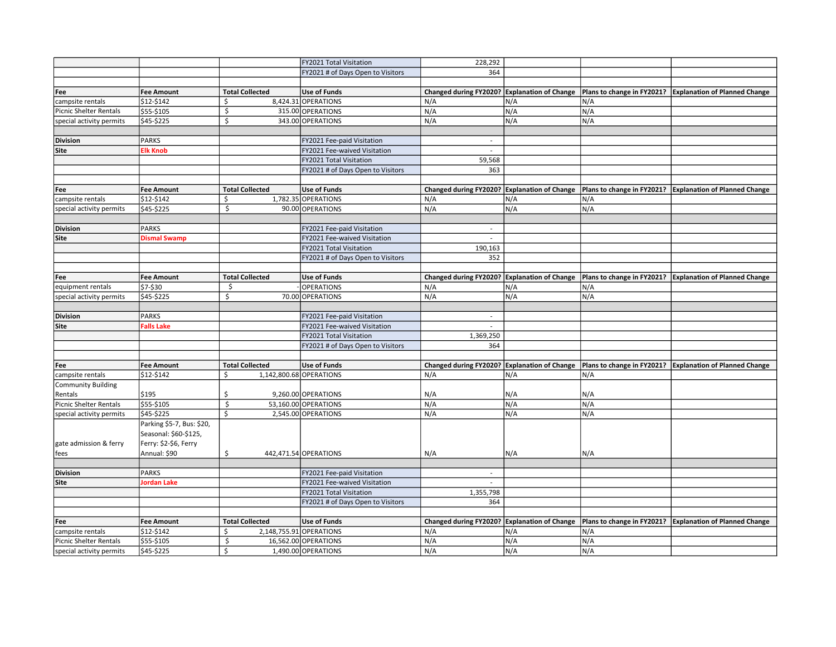|                           |                           |                         | FY2021 Total Visitation           | 228,292                                      |     |     |                                                          |
|---------------------------|---------------------------|-------------------------|-----------------------------------|----------------------------------------------|-----|-----|----------------------------------------------------------|
|                           |                           |                         | FY2021 # of Days Open to Visitors | 364                                          |     |     |                                                          |
|                           |                           |                         |                                   |                                              |     |     |                                                          |
| Fee                       | <b>Fee Amount</b>         | <b>Total Collected</b>  | Use of Funds                      | Changed during FY2020? Explanation of Change |     |     | Plans to change in FY2021? Explanation of Planned Change |
| campsite rentals          |                           | \$                      | 8,424.31 OPERATIONS               | N/A                                          |     | N/A |                                                          |
|                           | \$12-\$142                |                         |                                   | N/A                                          | N/A |     |                                                          |
| Picnic Shelter Rentals    | \$55-\$105                | \$                      | 315.00 OPERATIONS                 |                                              | N/A | N/A |                                                          |
| special activity permits  | \$45-\$225                | $\mathsf S$             | 343.00 OPERATIONS                 | N/A                                          | N/A | N/A |                                                          |
|                           |                           |                         |                                   |                                              |     |     |                                                          |
| <b>Division</b>           | <b>PARKS</b>              |                         | FY2021 Fee-paid Visitation        | $\sim$                                       |     |     |                                                          |
| Site                      | <b>Elk Knob</b>           |                         | FY2021 Fee-waived Visitation      | $\sim$                                       |     |     |                                                          |
|                           |                           |                         | FY2021 Total Visitation           | 59,568                                       |     |     |                                                          |
|                           |                           |                         | FY2021 # of Days Open to Visitors | 363                                          |     |     |                                                          |
|                           |                           |                         |                                   |                                              |     |     |                                                          |
| Fee                       | <b>Fee Amount</b>         | <b>Total Collected</b>  | <b>Use of Funds</b>               | Changed during FY2020? Explanation of Change |     |     | Plans to change in FY2021? Explanation of Planned Change |
| campsite rentals          | \$12-\$142                | \$                      | 1,782.35 OPERATIONS               | N/A                                          | N/A | N/A |                                                          |
| special activity permits  | \$45-\$225                | \$                      | 90.00 OPERATIONS                  | N/A                                          | N/A | N/A |                                                          |
|                           |                           |                         |                                   |                                              |     |     |                                                          |
| <b>Division</b>           | <b>PARKS</b>              |                         | FY2021 Fee-paid Visitation        |                                              |     |     |                                                          |
| Site                      | <b>Dismal Swamp</b>       |                         | FY2021 Fee-waived Visitation      | $\mathbf{r}$                                 |     |     |                                                          |
|                           |                           |                         | FY2021 Total Visitation           | 190,163                                      |     |     |                                                          |
|                           |                           |                         | FY2021 # of Days Open to Visitors | 352                                          |     |     |                                                          |
|                           |                           |                         |                                   |                                              |     |     |                                                          |
| Fee                       | <b>Fee Amount</b>         | <b>Total Collected</b>  | <b>Use of Funds</b>               | Changed during FY2020? Explanation of Change |     |     | Plans to change in FY2021? Explanation of Planned Change |
| equipment rentals         | \$7-\$30                  | \$                      | <b>OPERATIONS</b>                 | N/A                                          | N/A | N/A |                                                          |
| special activity permits  | \$45-\$225                | \$                      | 70.00 OPERATIONS                  | N/A                                          | N/A | N/A |                                                          |
|                           |                           |                         |                                   |                                              |     |     |                                                          |
| <b>Division</b>           | <b>PARKS</b>              |                         | FY2021 Fee-paid Visitation        | $\sim$                                       |     |     |                                                          |
| Site                      | <b>Falls Lake</b>         |                         | FY2021 Fee-waived Visitation      | $\sim$                                       |     |     |                                                          |
|                           |                           |                         | FY2021 Total Visitation           | 1,369,250                                    |     |     |                                                          |
|                           |                           |                         | FY2021 # of Days Open to Visitors | 364                                          |     |     |                                                          |
|                           |                           |                         |                                   |                                              |     |     |                                                          |
| Fee                       | <b>Fee Amount</b>         | <b>Total Collected</b>  | Use of Funds                      | Changed during FY2020? Explanation of Change |     |     | Plans to change in FY2021? Explanation of Planned Change |
| campsite rentals          | \$12-\$142                | Ŝ.                      | 1,142,800.68 OPERATIONS           | N/A                                          | N/A | N/A |                                                          |
| <b>Community Building</b> |                           |                         |                                   |                                              |     |     |                                                          |
| Rentals                   | \$195                     | \$                      | 9,260.00 OPERATIONS               | N/A                                          | N/A | N/A |                                                          |
| Picnic Shelter Rentals    | \$55-\$105                | \$                      | 53,160.00 OPERATIONS              | N/A                                          | N/A | N/A |                                                          |
| special activity permits  | \$45-\$225                | $\overline{\mathsf{s}}$ | 2,545.00 OPERATIONS               | N/A                                          | N/A | N/A |                                                          |
|                           |                           |                         |                                   |                                              |     |     |                                                          |
|                           | Parking \$5-7, Bus: \$20, |                         |                                   |                                              |     |     |                                                          |
|                           | Seasonal: \$60-\$125,     |                         |                                   |                                              |     |     |                                                          |
| gate admission & ferry    | Ferry: \$2-\$6, Ferry     |                         |                                   |                                              |     |     |                                                          |
| fees                      | Annual: \$90              | \$                      | 442,471.54 OPERATIONS             | N/A                                          | N/A | N/A |                                                          |
|                           |                           |                         |                                   |                                              |     |     |                                                          |
| <b>Division</b>           | <b>PARKS</b>              |                         | FY2021 Fee-paid Visitation        | $\sim$                                       |     |     |                                                          |
| Site                      | Jordan Lake               |                         | FY2021 Fee-waived Visitation      | $\sim$                                       |     |     |                                                          |
|                           |                           |                         | FY2021 Total Visitation           | 1,355,798                                    |     |     |                                                          |
|                           |                           |                         | FY2021 # of Days Open to Visitors | 364                                          |     |     |                                                          |
|                           |                           |                         |                                   |                                              |     |     |                                                          |
| Fee                       | <b>Fee Amount</b>         | <b>Total Collected</b>  | <b>Use of Funds</b>               | Changed during FY2020? Explanation of Change |     |     | Plans to change in FY2021? Explanation of Planned Change |
| campsite rentals          | \$12-\$142                | Ŝ.                      | 2,148,755.91 OPERATIONS           | N/A                                          | N/A | N/A |                                                          |
| Picnic Shelter Rentals    | \$55-\$105                | \$                      | 16,562.00 OPERATIONS              | N/A                                          | N/A | N/A |                                                          |
| special activity permits  | \$45-\$225                | $\overline{\mathsf{S}}$ | 1,490.00 OPERATIONS               | N/A                                          | N/A | N/A |                                                          |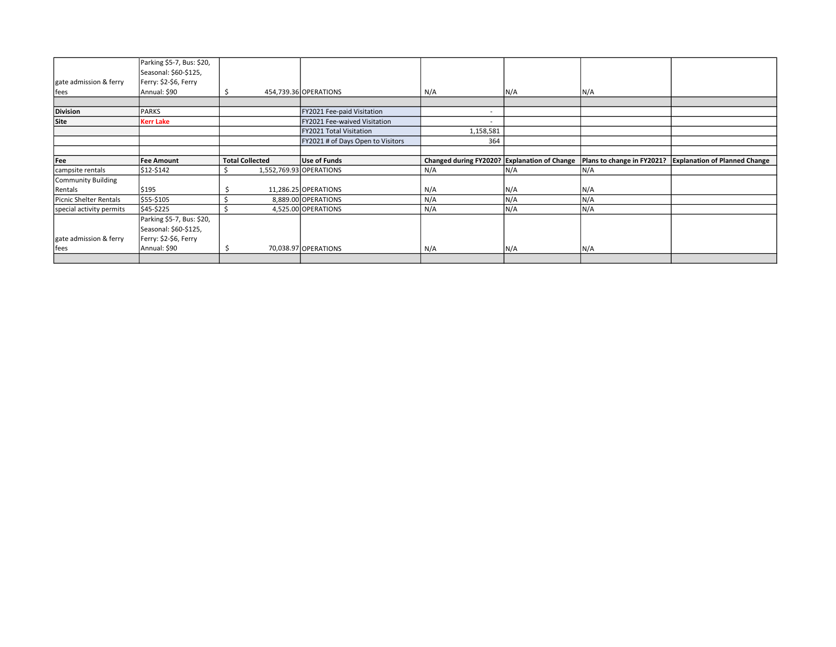|                          | Parking \$5-7, Bus: \$20, |                        |                                   |                                              |     |                            |                                      |
|--------------------------|---------------------------|------------------------|-----------------------------------|----------------------------------------------|-----|----------------------------|--------------------------------------|
|                          | Seasonal: \$60-\$125,     |                        |                                   |                                              |     |                            |                                      |
| gate admission & ferry   | Ferry: \$2-\$6, Ferry     |                        |                                   |                                              |     |                            |                                      |
| fees                     | Annual: \$90              | S                      | 454,739.36 OPERATIONS             | N/A                                          | N/A | N/A                        |                                      |
|                          |                           |                        |                                   |                                              |     |                            |                                      |
| <b>Division</b>          | PARKS                     |                        | FY2021 Fee-paid Visitation        | $\overline{\phantom{a}}$                     |     |                            |                                      |
| <b>Site</b>              | <b>Kerr Lake</b>          |                        | FY2021 Fee-waived Visitation      |                                              |     |                            |                                      |
|                          |                           |                        | FY2021 Total Visitation           | 1,158,581                                    |     |                            |                                      |
|                          |                           |                        | FY2021 # of Days Open to Visitors | 364                                          |     |                            |                                      |
|                          |                           |                        |                                   |                                              |     |                            |                                      |
| Fee                      | <b>Fee Amount</b>         | <b>Total Collected</b> | Use of Funds                      | Changed during FY2020? Explanation of Change |     | Plans to change in FY2021? | <b>Explanation of Planned Change</b> |
| campsite rentals         | \$12-\$142                |                        | 1,552,769.93 OPERATIONS           | N/A                                          | N/A | N/A                        |                                      |
| Community Building       |                           |                        |                                   |                                              |     |                            |                                      |
| Rentals                  | \$195                     |                        | 11,286.25 OPERATIONS              | N/A                                          | N/A | N/A                        |                                      |
| Picnic Shelter Rentals   | \$55-\$105                |                        | 8,889.00 OPERATIONS               | N/A                                          | N/A | N/A                        |                                      |
| special activity permits | \$45-\$225                |                        | 4,525.00 OPERATIONS               | N/A                                          | N/A | N/A                        |                                      |
|                          | Parking \$5-7, Bus: \$20, |                        |                                   |                                              |     |                            |                                      |
|                          | Seasonal: \$60-\$125,     |                        |                                   |                                              |     |                            |                                      |
| gate admission & ferry   | Ferry: \$2-\$6, Ferry     |                        |                                   |                                              |     |                            |                                      |
|                          |                           |                        |                                   |                                              |     |                            |                                      |
| fees                     | Annual: \$90              |                        | 70,038.97 OPERATIONS              | N/A                                          | N/A | N/A                        |                                      |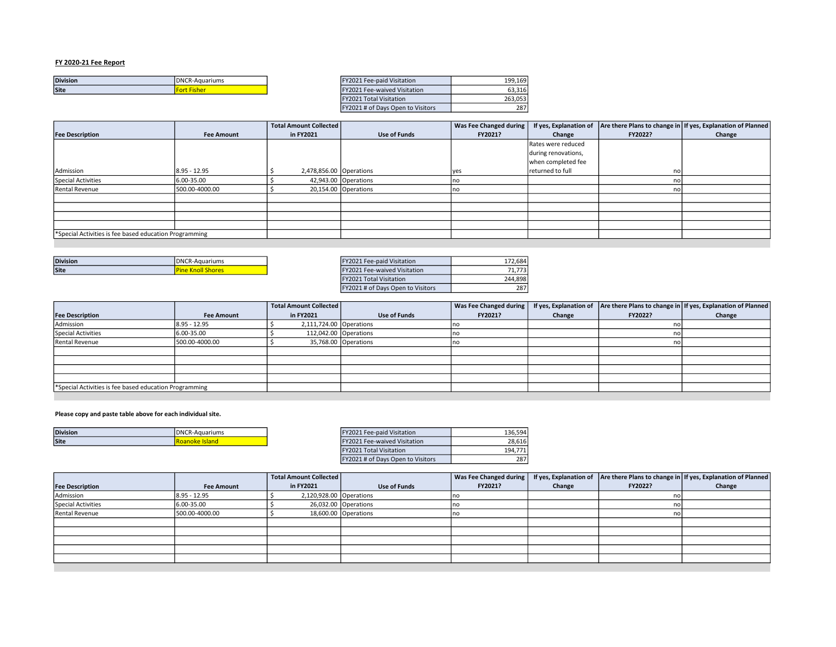| <b>Division</b> | <b>IDNCR-Aquariums</b> | "FY2021 Fee-paid Visitation         | 199.169                 |
|-----------------|------------------------|-------------------------------------|-------------------------|
| Site            | rt Fishei              | <b>EY2021 Fee-waived Visitation</b> | $\sim$ $\sim$<br>63.316 |
|                 |                        |                                     |                         |

| <b>Division</b> | <b>IDNCR-Aquariums</b> | FY2021 Fee-paid Visitation               | 199.169 |
|-----------------|------------------------|------------------------------------------|---------|
| Site            | <b>Fort Fisher</b>     | FY2021 Fee-waived Visitation             | 63.316  |
|                 |                        | <b>FY2021 Total Visitation</b>           | 263.053 |
|                 |                        | <b>FY2021 # of Days Open to Visitors</b> | 287     |

|                                                        |                   | <b>Total Amount Collected</b> |                      | Was Fee Changed during |                     |         | If yes, Explanation of $ $ Are there Plans to change in If yes, Explanation of Planned |
|--------------------------------------------------------|-------------------|-------------------------------|----------------------|------------------------|---------------------|---------|----------------------------------------------------------------------------------------|
| <b>Fee Description</b>                                 | <b>Fee Amount</b> | in FY2021                     | <b>Use of Funds</b>  | FY2021?                | Change              | FY2022? | Change                                                                                 |
|                                                        |                   |                               |                      |                        | Rates were reduced  |         |                                                                                        |
|                                                        |                   |                               |                      |                        | during renovations, |         |                                                                                        |
|                                                        |                   |                               |                      |                        | when completed fee  |         |                                                                                        |
| Admission                                              | 18.95 - 12.95     | 2,478,856.00 Operations       |                      | lyes                   | returned to full    | no      |                                                                                        |
| <b>Special Activities</b>                              | 6.00-35.00        |                               | 42,943.00 Operations | no                     |                     |         |                                                                                        |
| Rental Revenue                                         | 500.00-4000.00    |                               | 20,154.00 Operations |                        |                     |         |                                                                                        |
|                                                        |                   |                               |                      |                        |                     |         |                                                                                        |
|                                                        |                   |                               |                      |                        |                     |         |                                                                                        |
|                                                        |                   |                               |                      |                        |                     |         |                                                                                        |
|                                                        |                   |                               |                      |                        |                     |         |                                                                                        |
| *Special Activities is fee based education Programming |                   |                               |                      |                        |                     |         |                                                                                        |

| <b>Division</b> | DNCR-<br>.R-Aquariums | Y2021 Fee-paid Visitation<br>T122024F <sub>2</sub> | 172.684   |
|-----------------|-----------------------|----------------------------------------------------|-----------|
| <b>Site</b>     | <b>NIIUII SHUTES</b>  | Y2021 Fee-waived Visitation<br>F120011             | ----<br>, |

| FY2021 Fee-paid Visitation        | 172,684 |
|-----------------------------------|---------|
| FY2021 Fee-waived Visitation      | 71,773  |
| <b>FY2021 Total Visitation</b>    | 244,898 |
| FY2021 # of Days Open to Visitors | 287     |

|                                                        |                   | Total Amount Collected  |                      | Was Fee Changed during |        |         | If yes, Explanation of   Are there Plans to change in   If yes, Explanation of Planned |
|--------------------------------------------------------|-------------------|-------------------------|----------------------|------------------------|--------|---------|----------------------------------------------------------------------------------------|
| <b>Fee Description</b>                                 | <b>Fee Amount</b> | in FY2021               | <b>Use of Funds</b>  | FY2021?                | Change | FY2022? | Change                                                                                 |
| Admission                                              | 8.95 - 12.95      | 2,111,724.00 Operations |                      |                        |        | nol     |                                                                                        |
| Special Activities                                     | 6.00-35.00        | 112,042.00 Operations   |                      |                        |        | nol     |                                                                                        |
| Rental Revenue                                         | 500.00-4000.00    |                         | 35,768.00 Operations |                        |        | nol     |                                                                                        |
|                                                        |                   |                         |                      |                        |        |         |                                                                                        |
|                                                        |                   |                         |                      |                        |        |         |                                                                                        |
|                                                        |                   |                         |                      |                        |        |         |                                                                                        |
|                                                        |                   |                         |                      |                        |        |         |                                                                                        |
| *Special Activities is fee based education Programming |                   |                         |                      |                        |        |         |                                                                                        |

#### Please copy and paste table above for each individual site.

| <b>Division</b> | IDNCR<br>Aquariums | <i>Visitation</i><br>۵۵<br>40 Z.H<br>. | 2C E0<br>36<br>130.JJ |
|-----------------|--------------------|----------------------------------------|-----------------------|
| <b>Site</b>     | anu.               | <b>Fee-waived Visitation</b>           | 20.61<br>28.b1t       |
|                 |                    |                                        |                       |

| 136,594 |
|---------|
| 28,616  |
| 194,771 |
| 287     |
|         |

|                        |                   | Total Amount Collected  |                      |         |        |         | Was Fee Changed during   If yes, Explanation of   Are there Plans to change in   If yes, Explanation of Planned |
|------------------------|-------------------|-------------------------|----------------------|---------|--------|---------|-----------------------------------------------------------------------------------------------------------------|
| <b>Fee Description</b> | <b>Fee Amount</b> | in FY2021               | <b>Use of Funds</b>  | FY2021? | Change | FY2022? | Change                                                                                                          |
| Admission              | 8.95 - 12.95      | 2,120,928.00 Operations |                      |         |        | no      |                                                                                                                 |
| Special Activities     | 6.00-35.00        |                         | 26,032.00 Operations |         |        | no      |                                                                                                                 |
| Rental Revenue         | 500.00-4000.00    |                         | 18,600.00 Operations |         |        |         |                                                                                                                 |
|                        |                   |                         |                      |         |        |         |                                                                                                                 |
|                        |                   |                         |                      |         |        |         |                                                                                                                 |
|                        |                   |                         |                      |         |        |         |                                                                                                                 |
|                        |                   |                         |                      |         |        |         |                                                                                                                 |
|                        |                   |                         |                      |         |        |         |                                                                                                                 |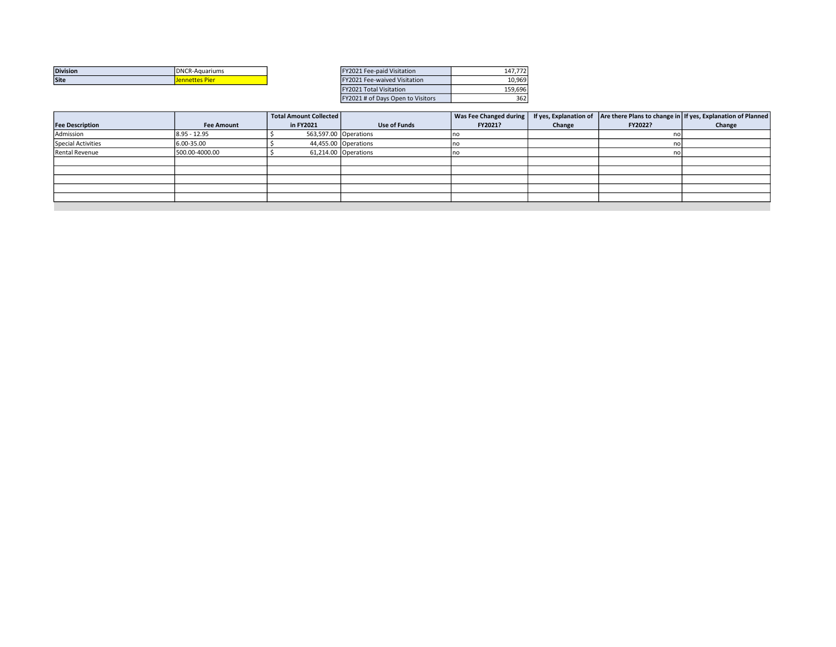| <b>Division</b> | <b>IDNCR-Aquariums</b>             | Y2021 Fee-paid Visitation<br>F1/2024 | $1 - 7 - 1$<br>147.7 |
|-----------------|------------------------------------|--------------------------------------|----------------------|
| <b>Site</b>     | <b>DO</b><br>------<br>nnettes Pie | Fee-waived Visitation<br>$-V/04$     | 10.969               |

| FY2021 Fee-paid Visitation        | 147.772 |
|-----------------------------------|---------|
| FY2021 Fee-waived Visitation      | 10.969  |
| <b>FY2021 Total Visitation</b>    | 159.696 |
| FY2021 # of Days Open to Visitors | 362     |
|                                   |         |

|                        |                   | <b>Total Amount Collected</b> |                      | Was Fee Changed during |        |         | If yes, Explanation of   Are there Plans to change in   If yes, Explanation of Planned |
|------------------------|-------------------|-------------------------------|----------------------|------------------------|--------|---------|----------------------------------------------------------------------------------------|
| <b>Fee Description</b> | <b>Fee Amount</b> | in FY2021                     | <b>Use of Funds</b>  | FY2021?                | Change | FY2022? | Change                                                                                 |
| Admission              | $8.95 - 12.95$    | 563,597.00 Operations         |                      | no                     |        | no      |                                                                                        |
| Special Activities     | 6.00-35.00        |                               | 44,455.00 Operations | ΠO                     |        | nol     |                                                                                        |
| <b>Rental Revenue</b>  | 500.00-4000.00    |                               | 61,214.00 Operations | סו                     |        | no      |                                                                                        |
|                        |                   |                               |                      |                        |        |         |                                                                                        |
|                        |                   |                               |                      |                        |        |         |                                                                                        |
|                        |                   |                               |                      |                        |        |         |                                                                                        |
|                        |                   |                               |                      |                        |        |         |                                                                                        |
|                        |                   |                               |                      |                        |        |         |                                                                                        |
|                        |                   |                               |                      |                        |        |         |                                                                                        |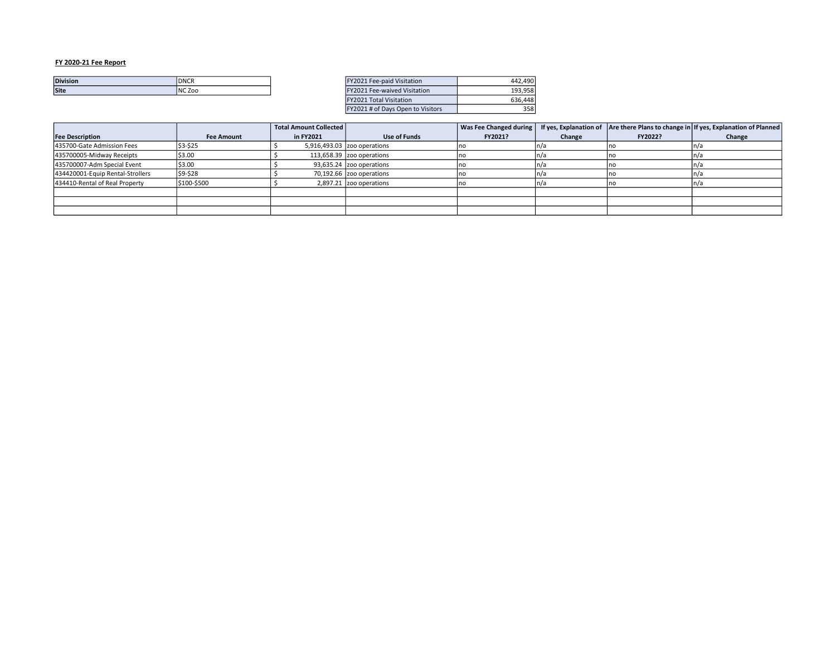| <b>Division</b> | <b>IDNCR</b>   | <b>Fee-paid Visitation</b>     | .490<br>лл |
|-----------------|----------------|--------------------------------|------------|
| <b>Site</b>     | <b>INC Zoo</b> | Fee-waived Visitation<br>Y2021 | .958       |
|                 |                |                                |            |

| FY2021 Fee-paid Visitation          | 442.490 |
|-------------------------------------|---------|
| <b>FY2021 Fee-waived Visitation</b> | 193.958 |
| FY2021 Total Visitation             | 636.448 |
| FY2021 # of Days Open to Visitors   | 358     |

|                                  |                   | <b>Total Amount Collected</b> |                             | Was Fee Changed during |        |         | If yes, Explanation of $ $ Are there Plans to change in If yes, Explanation of Planned |
|----------------------------------|-------------------|-------------------------------|-----------------------------|------------------------|--------|---------|----------------------------------------------------------------------------------------|
| <b>Fee Description</b>           | <b>Fee Amount</b> | in FY2021                     | Use of Funds                | FY2021?                | Change | FY2022? | Change                                                                                 |
| 435700-Gate Admission Fees       | \$3-\$25          |                               | 5,916,493.03 zoo operations |                        |        |         |                                                                                        |
| 435700005-Midway Receipts        | \$3.00            |                               | 113,658.39 zoo operations   |                        |        |         | II/d                                                                                   |
| 435700007-Adm Special Event      | \$3.00            |                               | $93,635.24$ zoo operations  |                        |        |         |                                                                                        |
| 434420001-Equip Rental-Strollers | \$9-\$28          |                               | $70,192.66$ zoo operations  | סו                     | 7      |         | n/a                                                                                    |
| 434410-Rental of Real Property   | \$100-\$500       |                               | $2,897.21$ zoo operations   | סו                     |        |         |                                                                                        |
|                                  |                   |                               |                             |                        |        |         |                                                                                        |
|                                  |                   |                               |                             |                        |        |         |                                                                                        |
|                                  |                   |                               |                             |                        |        |         |                                                                                        |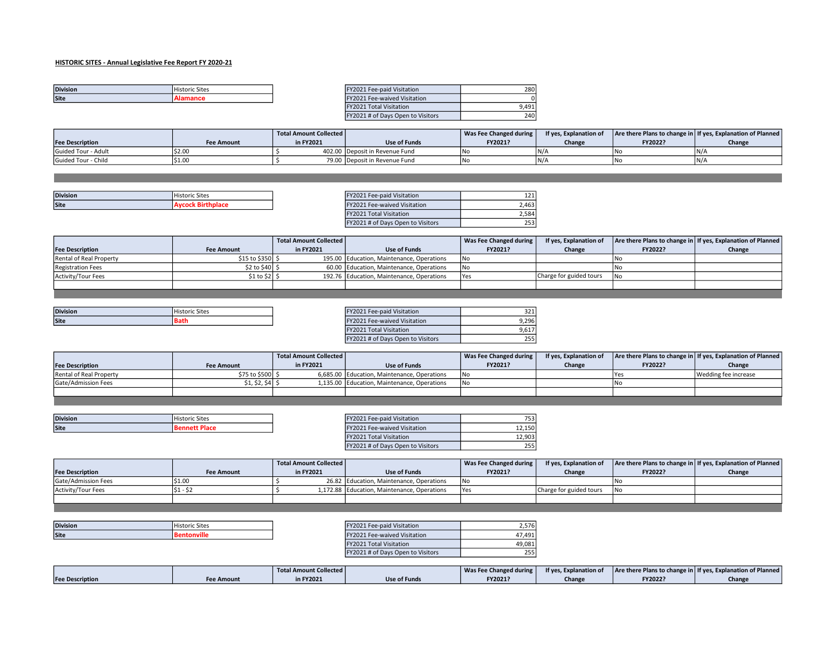# HISTORIC SITES - Annual Legislative Fee Report FY 2020-21

| <b>Division</b> | <b>Historic Sites</b> | <b>EY2021 Fee-paid Visitation</b>   | 280 |
|-----------------|-----------------------|-------------------------------------|-----|
| Site            | татапсе               | <b>FY2021 Fee-waived Visitation</b> |     |

| FY2021 Fee-paid Visitation        |      |
|-----------------------------------|------|
| FY2021 Fee-waived Visitation      |      |
| <b>FY2021 Total Visitation</b>    | 9.49 |
| FY2021 # of Days Open to Visitors |      |

|                            |            | Total Amount Collected |                                | Was Fee Changed during | If yes, Explanation of |         | Are there Plans to change in If yes, Explanation of Planned |
|----------------------------|------------|------------------------|--------------------------------|------------------------|------------------------|---------|-------------------------------------------------------------|
| <b>Fee Description</b>     | Fee Amount | n FY2021               | Use of Funds                   | FY2021?                | Change                 | FY2022? | Change                                                      |
| <b>Guided Tour - Adult</b> |            |                        | 402.00 Deposit in Revenue Fund | 1No                    | N/I                    |         | N/4                                                         |
| Guided Tour - Child        |            |                        | 79.00 Deposit in Revenue Fund  | 1N                     | IN/A                   |         | N/4                                                         |

| <b>Division</b> | $-$            | Fee-paid Visitation           | $\sim$ $\sim$ $\sim$ |
|-----------------|----------------|-------------------------------|----------------------|
|                 | Historic Sites | ZUZ.                          | --                   |
| <b>Site</b>     |                | Fee-waived Visitation<br>202. | 2,463                |

| FY2021 Fee-paid Visitation        |       |
|-----------------------------------|-------|
| FY2021 Fee-waived Visitation      | 2.463 |
| <b>FY2021 Total Visitation</b>    |       |
| FY2021 # of Days Open to Visitors |       |

|                          |                   | Total Amount Collected |                                           | Was Fee Changed during | If yes, Explanation of  |         | Are there Plans to change in   If yes, Explanation of Planned |
|--------------------------|-------------------|------------------------|-------------------------------------------|------------------------|-------------------------|---------|---------------------------------------------------------------|
| <b>Fee Description</b>   | <b>Fee Amount</b> | in FY2021              | Use of Funds                              | FY2021?                | Change                  | FY2022? | Change                                                        |
| Rental of Real Property  | \$15 to \$350 \$  |                        | 195.00 Education, Maintenance, Operations | l No                   |                         |         |                                                               |
| <b>Registration Fees</b> | $$2$ to $$40$ $$$ |                        | 60.00 Education, Maintenance, Operations  | <b>INo</b>             |                         |         |                                                               |
| Activity/Tour Fees       | $$1 to $2]$ \$    |                        | 192.76 Education, Maintenance, Operations | <b>IYes</b>            | Charge for guided tours |         |                                                               |
|                          |                   |                        |                                           |                        |                         |         |                                                               |

| <b>Division</b> | $\sim$         | Fee-paid Visitation         | $\sim$ |
|-----------------|----------------|-----------------------------|--------|
|                 | Historic Sites | V2021                       | . ے ب  |
| Site            | n.<br>bath     | Y2021 Fee-waived Visitation | 9.296  |

the contract of the contract of the

| FY2021 Fee-paid Visitation        |       |
|-----------------------------------|-------|
| FY2021 Fee-waived Visitation      | 9.296 |
| <b>FY2021 Total Visitation</b>    | 9.61  |
| FY2021 # of Days Open to Visitors |       |

|                         |                   | Total Amount Collected |                                             | Was Fee Changed during | If ves. Explanation of |             | Are there Plans to change in   If yes, Explanation of Planned |
|-------------------------|-------------------|------------------------|---------------------------------------------|------------------------|------------------------|-------------|---------------------------------------------------------------|
| <b>Fee Description</b>  | <b>Fee Amount</b> | in FY2021              | Use of Funds                                | FY2021?                | Change                 | FY2022?     | Change                                                        |
| Rental of Real Property | \$75 to \$500 S   |                        | 6,685.00 Education, Maintenance, Operations | 1No                    |                        | <b>TYes</b> | Wedding fee increase                                          |
| Gate/Admission Fees     | \$1, \$2, \$4  \$ |                        | 1,135.00 Education, Maintenance, Operations | 1No                    |                        |             |                                                               |
|                         |                   |                        |                                             |                        |                        |             |                                                               |

|      | <b>Division</b> | Historic Sites | Y2021 Fee-paid Visitation             | フロ<br>۔ ب            |
|------|-----------------|----------------|---------------------------------------|----------------------|
| Site |                 |                | V2021 E<br>2021 Fee-waived Visitation | 12.150               |
|      |                 |                |                                       | $\sim$ $\sim$ $\sim$ |

| TFYZUZI Fee-baid Visitation       | ו בכ"  |
|-----------------------------------|--------|
| FY2021 Fee-waived Visitation      | 12.150 |
| FY2021 Total Visitation           | 12.903 |
| FY2021 # of Days Open to Visitors | 255    |

|                            |                   | Total Amount Collected |                                             | Was Fee Changed during | If yes, Explanation of  |         | Are there Plans to change in If yes, Explanation of Planned |
|----------------------------|-------------------|------------------------|---------------------------------------------|------------------------|-------------------------|---------|-------------------------------------------------------------|
| <b>Fee Description</b>     | <b>Fee Amount</b> | in FY2021              | Use of Funds                                | FY2021?                | Change                  | FY2022? | Change                                                      |
| <b>Gate/Admission Fees</b> |                   |                        | 26.82 Education, Maintenance, Operations    | 1No                    |                         |         |                                                             |
| Activity/Tour Fees         | 51                |                        | 1,172.88 Education, Maintenance, Operations | - I Yes                | Charge for guided tours | Nc      |                                                             |
|                            |                   |                        |                                             |                        |                         |         |                                                             |

| <b>Division</b> | $-1$<br>Historic Sites | FY2021 Fee-paid Visitation  | 576.<br>، ب |
|-----------------|------------------------|-----------------------------|-------------|
| <b>Site</b>     |                        | Y2021 Fee-waived Visitation | $-$<br>101  |

| FY2021 Fee-paid Visitation        | 2.576  |
|-----------------------------------|--------|
| FY2021 Fee-waived Visitation      | 47.491 |
| <b>FY2021 Total Visitation</b>    | 49.081 |
| FY2021 # of Days Open to Visitors |        |

|                        |                   | <b>Total Amount Collected</b> |              | Was Fee Changed during | If yes, Explanation of |         | Are there Plans to change in If yes, Explanation of Planned |
|------------------------|-------------------|-------------------------------|--------------|------------------------|------------------------|---------|-------------------------------------------------------------|
| <b>Fee Description</b> | <b>Fee Amount</b> | in FY2021                     | Use of Funds | FY2021?                | Change                 | FY2022? | Change                                                      |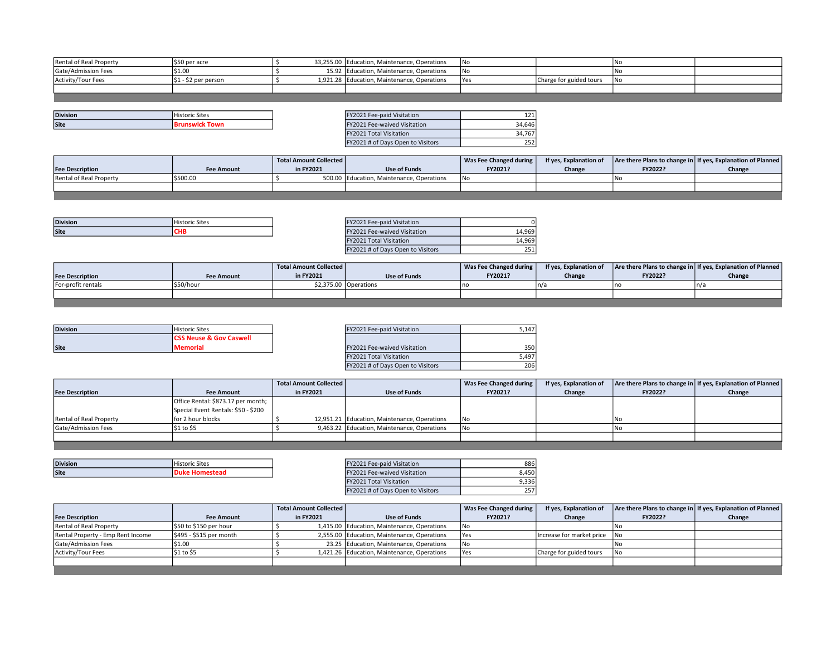| Rental of Real Property | \$50 per acre         | 33,255.00 Education, Maintenance, Operations  | <b>INo</b>  |                         |  |
|-------------------------|-----------------------|-----------------------------------------------|-------------|-------------------------|--|
| Gate/Admission Fees     | .S1.OC                | 15.92 Education, Maintenance, Operations      | 1No         |                         |  |
| Activity/Tour Fees      | $ $1 - $2$ per person | 1,921.28   Education, Maintenance, Operations | <b>TYes</b> | Charge for guided tours |  |
|                         |                       |                                               |             |                         |  |
|                         |                       |                                               |             |                         |  |

| <b>Division</b> | $-$<br>Historic Sites | ノリノ                                                                                                             | <i>Visitation</i><br>-aa-naid<br>-waiu -        | $\sim$ $\sim$ $\sim$<br>. |
|-----------------|-----------------------|-----------------------------------------------------------------------------------------------------------------|-------------------------------------------------|---------------------------|
| <b>Site</b>     |                       |                                                                                                                 | e-waived Visitation<br>500                      | 4.646                     |
|                 |                       | the contract of the contract of the contract of the contract of the contract of the contract of the contract of | the contract of the contract of the contract of |                           |

| FY2021 Fee-paid Visitation        |        |
|-----------------------------------|--------|
| FY2021 Fee-waived Visitation      | 34.646 |
| <b>FY2021 Total Visitation</b>    | 34.76  |
| FY2021 # of Days Open to Visitors |        |

|                         |                   | <b>Total Amount Collected  </b> |                                           | Was Fee Changed during | If yes, Explanation of |         | Are there Plans to change in If yes, Explanation of Planned |
|-------------------------|-------------------|---------------------------------|-------------------------------------------|------------------------|------------------------|---------|-------------------------------------------------------------|
| <b>Fee Description</b>  | <b>Fee Amount</b> | in FY2021                       | Use of Funds                              | FY2021?                | Change                 | FY2022? | Change                                                      |
| Rental of Real Property | \$500.00          |                                 | 500.00 Education, Maintenance, Operations | <b>INo</b>             |                        |         |                                                             |
|                         |                   |                                 |                                           |                        |                        |         |                                                             |
|                         |                   |                                 |                                           |                        |                        |         |                                                             |

| <b>Division</b> | .<br>'Historic Sites | Visitation<br>$\sim$<br>-paid.<br><u> 21 Fee</u> |          |
|-----------------|----------------------|--------------------------------------------------|----------|
| Site            |                      | Fee-waived Visitation                            | ا 4,969. |

| FY2021 Fee-paid Visitation          |        |
|-------------------------------------|--------|
| <b>FY2021 Fee-waived Visitation</b> | 14.969 |
| <b>FY2021 Total Visitation</b>      | 14.969 |
| FY2021 # of Days Open to Visitors   |        |

|                        |                   | Total Amount Collected |                       | Was Fee Changed during | If yes, Explanation of |         | Are there Plans to change in If yes, Explanation of Planned |
|------------------------|-------------------|------------------------|-----------------------|------------------------|------------------------|---------|-------------------------------------------------------------|
| <b>Fee Description</b> | <b>Fee Amount</b> | in FY2021              | Use of Funds          | FY2021?                | Change                 | FY2022? | Change                                                      |
| For-profit rentals     | 'S50/hour         |                        | \$2.375.00 Operations |                        | `n/a                   |         | n/                                                          |
|                        |                   |                        |                       |                        |                        |         |                                                             |
|                        |                   |                        |                       |                        |                        |         |                                                             |

| <b>Division</b> | Historic Sites                     | FY2021 Fee-paid Visitation   | $5.14^{-}$ |
|-----------------|------------------------------------|------------------------------|------------|
|                 | <b>CSS Neuse &amp; Gov Caswell</b> |                              |            |
| Site            | <b>Memorial</b>                    | FY2021 Fee-waived Visitation | 350        |

| Historic Sites                     | FY2021 Fee-paid Visitation        | 5.147  |
|------------------------------------|-----------------------------------|--------|
| <b>CSS Neuse &amp; Gov Caswell</b> |                                   |        |
| Memorial                           | FY2021 Fee-waived Visitation      | 350 l  |
|                                    | <b>FY2021 Total Visitation</b>    | 5.4971 |
|                                    | FY2021 # of Days Open to Visitors | 206 l  |

|                         |                                     | Total Amount Collected |                                              | Was Fee Changed during | If yes, Explanation of |         | Are there Plans to change in   If yes, Explanation of Planned |
|-------------------------|-------------------------------------|------------------------|----------------------------------------------|------------------------|------------------------|---------|---------------------------------------------------------------|
| <b>Fee Description</b>  | <b>Fee Amount</b>                   | in FY2021              | Use of Funds                                 | FY2021?                | Change                 | FY2022? | Change                                                        |
|                         | Office Rental: \$873.17 per month;  |                        |                                              |                        |                        |         |                                                               |
|                         | Special Event Rentals: \$50 - \$200 |                        |                                              |                        |                        |         |                                                               |
| Rental of Real Property | for 2 hour blocks                   |                        | 12,951.21 Education, Maintenance, Operations | 1No                    |                        | No      |                                                               |
| Gate/Admission Fees     | \$1 to \$5                          |                        | 9,463.22 Education, Maintenance, Operations  | 1No                    |                        | l Na    |                                                               |
|                         |                                     |                        |                                              |                        |                        |         |                                                               |
|                         |                                     |                        |                                              |                        |                        |         |                                                               |

| <b>Division</b> | <b>Historic Sites</b> | <b>TY2021 Fee-paid Visitation</b> | 886                |
|-----------------|-----------------------|-----------------------------------|--------------------|
| Site            | . Homestead           | FY2021 Fee-waived Visitation      | ፊ.450 <sup>፡</sup> |

| FY2021 Fee-paid Visitation        | 886   |
|-----------------------------------|-------|
| FY2021 Fee-waived Visitation      | 8.450 |
| <b>FY2021 Total Visitation</b>    | 9.336 |
| FY2021 # of Days Open to Visitors |       |

|                                   |                          | Total Amount Collected |                                             | Was Fee Changed during | If yes, Explanation of       |         | Are there Plans to change in If yes, Explanation of Planned |
|-----------------------------------|--------------------------|------------------------|---------------------------------------------|------------------------|------------------------------|---------|-------------------------------------------------------------|
| <b>Fee Description</b>            | <b>Fee Amount</b>        | in FY2021              | Use of Funds                                | FY2021?                | Change                       | FY2022? | Change                                                      |
| Rental of Real Property           | l \$50 to \$150 per hour |                        | 1,415.00 Education, Maintenance, Operations | l No                   |                              |         |                                                             |
| Rental Property - Emp Rent Income | \$495 - \$515 per month  |                        | 2,555.00 Education, Maintenance, Operations | <b>TYes</b>            | Increase for market price No |         |                                                             |
| <b>Gate/Admission Fees</b>        | \$1.00                   |                        | 23.25 Education, Maintenance, Operations    | <b>INo</b>             |                              |         |                                                             |
| Activity/Tour Fees                | \$1 to \$5               |                        | 1,421.26 Education, Maintenance, Operations | <b>Yes</b>             | Charge for guided tours      |         |                                                             |
|                                   |                          |                        |                                             |                        |                              |         |                                                             |
|                                   |                          |                        |                                             |                        |                              |         |                                                             |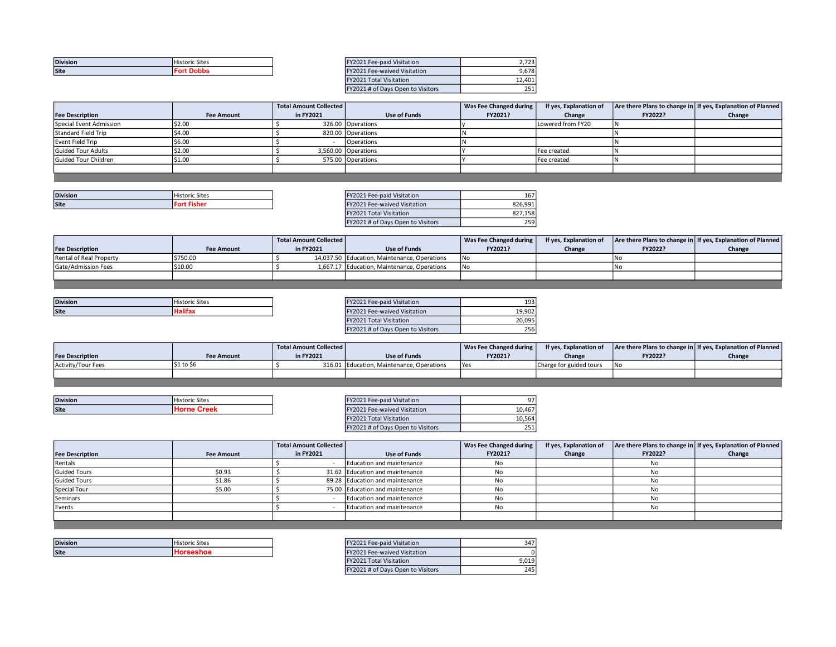| <b>Division</b> | <b>Historic Sites</b> | <b>FY2021 Fee-paid Visitation</b>   | $-22$<br>2,123 |
|-----------------|-----------------------|-------------------------------------|----------------|
| <b>Site</b>     | ™ Dob⊾                | <b>FY2021 Fee-waived Visitation</b> | 9.678          |

| FY2021 Fee-paid Visitation          | 2.723  |
|-------------------------------------|--------|
| <b>FY2021 Fee-waived Visitation</b> | 9.678  |
| <b>FY2021 Total Visitation</b>      | 12.401 |
| FY2021 # of Days Open to Visitors   | 251    |

|                         |                   | Total Amount Collected |                     | Was Fee Changed during | If yes, Explanation of |         | Are there Plans to change in   If yes, Explanation of Planned |
|-------------------------|-------------------|------------------------|---------------------|------------------------|------------------------|---------|---------------------------------------------------------------|
| <b>Fee Description</b>  | <b>Fee Amount</b> | in FY2021              | Use of Funds        | FY2021?                | Change                 | FY2022? | Change                                                        |
| Special Event Admission | \$2.00            |                        | 326.00 Operations   |                        | Lowered from FY20      |         |                                                               |
| Standard Field Trip     | IS4.00            |                        | 820.00 Operations   |                        |                        |         |                                                               |
| Event Field Trip        | \$6.00            |                        | Operations          |                        |                        |         |                                                               |
| Guided Tour Adults      | \$2.00            |                        | 3,560.00 Operations |                        | Fee created            |         |                                                               |
| Guided Tour Children    | \$1.00            |                        | 575.00 Operations   |                        | Fee created            |         |                                                               |
|                         |                   |                        |                     |                        |                        |         |                                                               |

| <b>Division</b> | <b>Historic Sites</b> | "Y2021 Fee-paid Visitation   | . .<br>16/ |
|-----------------|-----------------------|------------------------------|------------|
| Site            |                       | FY2021 Fee-waived Visitation | 826.991    |

| FY2021 Fee-paid Visitation        | 167     |
|-----------------------------------|---------|
| FY2021 Fee-waived Visitation      | 826.991 |
| <b>FY2021 Total Visitation</b>    | 827.158 |
| FY2021 # of Days Open to Visitors | 259     |

|                         |                   | Total Amount Collected |                                              | Was Fee Changed during | If yes, Explanation of |         | Are there Plans to change in If yes, Explanation of Planned |
|-------------------------|-------------------|------------------------|----------------------------------------------|------------------------|------------------------|---------|-------------------------------------------------------------|
| <b>Fee Description</b>  | <b>Fee Amount</b> | in FY2021              | Use of Funds                                 | FY2021?                | Change                 | FY2022? | Change                                                      |
| Rental of Real Property | \$750.00          |                        | 14,037.50 Education, Maintenance, Operations | <b>INc</b>             |                        |         |                                                             |
| Gate/Admission Fees     | \$10.00           |                        | 1,667.17 Education, Maintenance, Operations  | <b>INc</b>             |                        |         |                                                             |
|                         |                   |                        |                                              |                        |                        |         |                                                             |
|                         |                   |                        |                                              |                        |                        |         |                                                             |

| <b>Division</b> | $-1$<br>l Historic Sites | Fee-paid Visitation<br>2021      | 10<br>∵ د س⊥        |
|-----------------|--------------------------|----------------------------------|---------------------|
| <b>Site</b>     | .                        | . Fee-waived Visitation<br>72021 | 10.00 $2$<br>LY.YU. |

| FY2021 Fee-paid Visitation        | 193    |
|-----------------------------------|--------|
| FY2021 Fee-waived Visitation      | 19.902 |
| <b>FY2021 Total Visitation</b>    | 20.095 |
| FY2021 # of Days Open to Visitors | 256    |

|                        |            | <b>Total Amount Collected  </b> |                                           | Was Fee Changed during | If yes, Explanation of  |         | Are there Plans to change in   If yes, Explanation of Planned |
|------------------------|------------|---------------------------------|-------------------------------------------|------------------------|-------------------------|---------|---------------------------------------------------------------|
| <b>Fee Description</b> | Fee Amount | in FY2021                       | Use of Funds                              | FY2021?                | Change                  | FY2022? | Change                                                        |
| Activity/Tour Fees     | \$1 to \$  |                                 | 316.01 Education, Maintenance, Operations | <b>Yes</b>             | Charge for guided tours |         |                                                               |
|                        |            |                                 |                                           |                        |                         |         |                                                               |

| <b>Division</b> | <b>Historic Sites</b> | Y2021 Fee-paid Visitation           | Q7     |
|-----------------|-----------------------|-------------------------------------|--------|
| Site            | Crook                 | Y2021 Fee-waived Visitation         | 10.467 |
|                 |                       | $F1/2024.71 \times 10^{11} F1/1000$ | 20000  |

| ILISOZT LEE-DUID AIPITUITI          | 77     |
|-------------------------------------|--------|
| <b>FY2021 Fee-waived Visitation</b> | 10.467 |
| <b>FY2021 Total Visitation</b>      | 10.564 |
| FY2021 # of Days Open to Visitors   | 251    |

|                        |                   | Total Amount Collected |                                 | Was Fee Changed during | If yes, Explanation of |         | Are there Plans to change in If yes, Explanation of Planned |
|------------------------|-------------------|------------------------|---------------------------------|------------------------|------------------------|---------|-------------------------------------------------------------|
| <b>Fee Description</b> | <b>Fee Amount</b> | in FY2021              | Use of Funds                    | FY2021?                | Change                 | FY2022? | Change                                                      |
| Rentals                |                   |                        | Education and maintenance       | No                     |                        | No      |                                                             |
| <b>Guided Tours</b>    | \$0.93            |                        | 31.62 Education and maintenance | No                     |                        | No      |                                                             |
| <b>Guided Tours</b>    | \$1.86            |                        | 89.28 Education and maintenance | No                     |                        | No      |                                                             |
| Special Tour           | \$5.00            |                        | 75.00 Education and maintenance | No                     |                        |         |                                                             |
| Seminars               |                   |                        | Education and maintenance       | No                     |                        | N٥      |                                                             |
| Events                 |                   |                        | Education and maintenance       | No                     |                        | No      |                                                             |
|                        |                   |                        |                                 |                        |                        |         |                                                             |

| <b>Division</b> | $-1$<br>Historic Sites | epaid Visitation<br>$-000o$<br>$\sim$ | 347 |
|-----------------|------------------------|---------------------------------------|-----|
| <b>Site</b>     |                        | a-waived Visitation<br>.              |     |

| FY2021 Fee-paid Visitation        |       |
|-----------------------------------|-------|
| FY2021 Fee-waived Visitation      |       |
| <b>FY2021 Total Visitation</b>    | 9.019 |
| FY2021 # of Days Open to Visitors | 245   |

的,我们也不会有什么。""我们的人,我们也不会有什么?""我们的人,我们也不会有什么?""我们的人,我们也不会有什么?""我们的人,我们也不会有什么?""我们的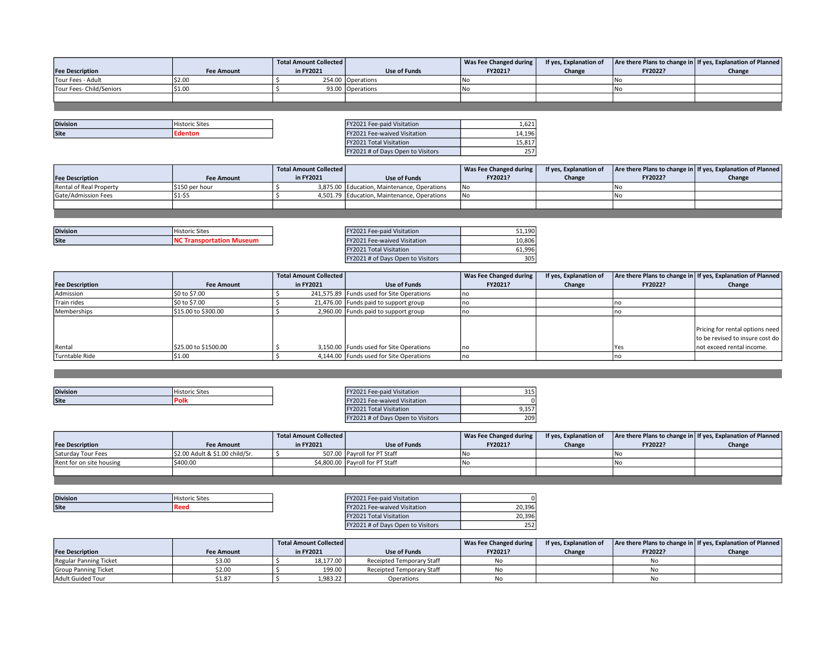|                          |                   | Total Amount Collected |                   | Was Fee Changed during | If yes, Explanation of |         | Are there Plans to change in If yes, Explanation of Planned |
|--------------------------|-------------------|------------------------|-------------------|------------------------|------------------------|---------|-------------------------------------------------------------|
| <b>Fee Description</b>   | <b>Fee Amount</b> | in FY2021              | Use of Funds      | FY2021?                | Change                 | FY2022? | Change                                                      |
| Tour Fees - Adult        | \$2.00            |                        | 254.00 Operations |                        |                        | 1Nc     |                                                             |
| Tour Fees- Child/Seniors | \$1.00            |                        | 93.00 Operations  |                        |                        | 1Nc     |                                                             |
|                          |                   |                        |                   |                        |                        |         |                                                             |

| <b>Division</b> | istoric Sites | <br>Visitation<br>Y2021 Fee-paid                        | $\sim$<br>1,0ZJ |
|-----------------|---------------|---------------------------------------------------------|-----------------|
| Site            |               | <b>Fee-waived Visitation</b><br>$\overline{\mathbf{u}}$ | 14,196          |

| FY2021 Fee-paid Visitation        |        |
|-----------------------------------|--------|
| FY2021 Fee-waived Visitation      | 14.196 |
| <b>FY2021 Total Visitation</b>    | 15.81  |
| FY2021 # of Days Open to Visitors |        |

|                         |                   | Total Amount Collected |                                             | Was Fee Changed during | If yes, Explanation of |         | Are there Plans to change in   If yes, Explanation of Planned |
|-------------------------|-------------------|------------------------|---------------------------------------------|------------------------|------------------------|---------|---------------------------------------------------------------|
| <b>Fee Description</b>  | <b>Fee Amount</b> | in FY2021              | Use of Funds                                | FY2021?                | Change                 | FY2022? | Change                                                        |
| Rental of Real Property | l \$150 per hour  |                        | 3,875.00 Education, Maintenance, Operations | 1No                    |                        |         |                                                               |
| Gate/Admission Fees     | $$1-S$            |                        | 4,501.79 Education, Maintenance, Operations | 1No                    |                        |         |                                                               |
|                         |                   |                        |                                             |                        |                        |         |                                                               |

| <b>Division</b> | Historic Sites | Y2021 Fee-paid Visitation   | 51.190 |
|-----------------|----------------|-----------------------------|--------|
| <b>Site</b>     | ∵eun⊾          | Y2021 Fee-waived Visitation | 10,806 |

| FY2021 Fee-paid Visitation        | 51.190 |
|-----------------------------------|--------|
| FY2021 Fee-waived Visitation      | 10.806 |
| <b>FY2021 Total Visitation</b>    | 61.996 |
| FY2021 # of Days Open to Visitors |        |

|                        |                      | <b>Total Amount Collected</b> |                                           | Was Fee Changed during | If yes, Explanation of |         | Are there Plans to change in   If yes, Explanation of Planned |
|------------------------|----------------------|-------------------------------|-------------------------------------------|------------------------|------------------------|---------|---------------------------------------------------------------|
| <b>Fee Description</b> | <b>Fee Amount</b>    | in FY2021                     | Use of Funds                              | FY2021?                | Change                 | FY2022? | Change                                                        |
| Admission              | \$0 to \$7.00        |                               | 241,575.89 Funds used for Site Operations |                        |                        |         |                                                               |
| Train rides            | l \$0 to \$7.00      |                               | 21,476.00 Funds paid to support group     |                        |                        |         |                                                               |
| Memberships            | \$15.00 to \$300.00  |                               | 2,960.00 Funds paid to support group      |                        |                        |         |                                                               |
|                        |                      |                               |                                           |                        |                        |         |                                                               |
|                        |                      |                               |                                           |                        |                        |         | Pricing for rental options need                               |
|                        |                      |                               |                                           |                        |                        |         | to be revised to insure cost do                               |
| Rental                 | \$25.00 to \$1500.00 |                               | 3,150.00 Funds used for Site Operations   | 'no                    |                        | 'Yes    | Inot exceed rental income.                                    |
| Turntable Ride         | \$1.00               |                               | 4,144.00 Funds used for Site Operations   | l no                   |                        |         |                                                               |

| <b>Site</b><br>Poll<br>Visitation<br>uved.<br>1117 | <b>Division</b> | rtoric Site. | <i>lisitation</i> | 24F<br>د⊥د |
|----------------------------------------------------|-----------------|--------------|-------------------|------------|
|                                                    |                 |              |                   |            |

| FY2021 Fee-paid Visitation        | 15    |
|-----------------------------------|-------|
| FY2021 Fee-waived Visitation      |       |
| <b>FY2021 Total Visitation</b>    | 9.357 |
| FY2021 # of Days Open to Visitors | 209   |

|                          |                                | Total Amount Collected |                                 | Was Fee Changed during | If yes, Explanation of |         | Are there Plans to change in If yes, Explanation of Planned |
|--------------------------|--------------------------------|------------------------|---------------------------------|------------------------|------------------------|---------|-------------------------------------------------------------|
| <b>Fee Description</b>   | <b>Fee Amount</b>              | in FY2021              | <b>Use of Funds</b>             | FY2021?                | Change                 | FY2022? | Change                                                      |
| Saturday Tour Fees       | S2.00 Adult & \$1.00 child/Sr. |                        | 507.00 Pavroll for PT Staff     |                        |                        |         |                                                             |
| Rent for on site housing | \$400.00                       |                        | \$4,800.00 Payroll for PT Staff | l Nr                   |                        |         |                                                             |
|                          |                                |                        |                                 |                        |                        |         |                                                             |

| <b>Division</b> | 'istoric Sites | <i><u><b>Visitation</b></u></i><br>Fee-paid<br>$2021$ rees |                  |
|-----------------|----------------|------------------------------------------------------------|------------------|
| <b>Site</b>     | в<br>m         | e-waived Visitation<br>$\sim$ $\sim$ $\sim$                | 396<br>חר<br>∠∪. |

| FY2021 Fee-paid Visitation        |        |
|-----------------------------------|--------|
| FY2021 Fee-waived Visitation      | 20.396 |
| <b>FY2021 Total Visitation</b>    | 20.396 |
| FY2021 # of Days Open to Visitors |        |

|                             |                   | <b>Total Amount Collected</b> |                           | Was Fee Changed during | If yes, Explanation of |         | Are there Plans to change in   If yes, Explanation of Planned |
|-----------------------------|-------------------|-------------------------------|---------------------------|------------------------|------------------------|---------|---------------------------------------------------------------|
| <b>Fee Description</b>      | <b>Fee Amount</b> | in FY2021                     | Use of Funds              | FY2021?                | Change                 | FY2022? | Change                                                        |
| Regular Panning Ticket      | \$3.00            | 18.177.00                     | Receipted Temporary Staff |                        |                        | No      |                                                               |
| <b>Group Panning Ticket</b> | \$2.00            | 199.00                        | Receipted Temporary Staff |                        |                        | No      |                                                               |
| Adult Guided Tour           | \$1.87            | 1,983.22                      | Operations                |                        |                        | No      |                                                               |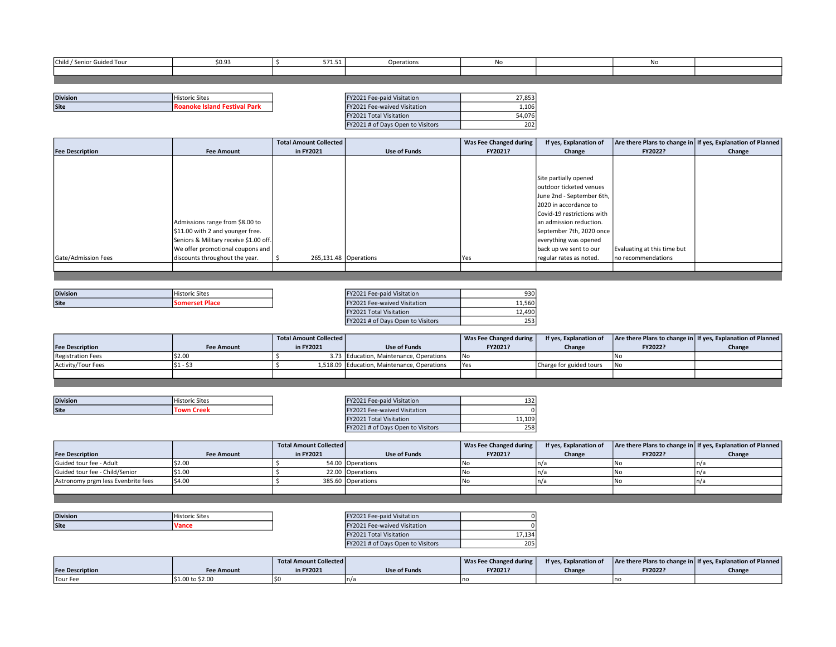| Child / Senior Guided Tour | \$0.93 | 571.51 | Operations | No. |  |  |
|----------------------------|--------|--------|------------|-----|--|--|
|                            |        |        |            |     |  |  |
|                            |        |        |            |     |  |  |

| <b>Division</b> | <b>Historic Sites</b> | .<br>. Fee-paid Visitation | 27052<br>دده, ، |
|-----------------|-----------------------|----------------------------|-----------------|
| <b>Site</b>     | 76 I IV               | Fee-waived Visitation      | 1,106           |

| FY2021 Fee-paid Visitation        | 27.853 |
|-----------------------------------|--------|
| FY2021 Fee-waived Visitation      | 1.106  |
| <b>FY2021 Total Visitation</b>    | 54.076 |
| FY2021 # of Days Open to Visitors |        |

|                        |                                        | <b>Total Amount Collected</b> |                     | Was Fee Changed during | If yes, Explanation of     |                             | Are there Plans to change in   If yes, Explanation of Planned |
|------------------------|----------------------------------------|-------------------------------|---------------------|------------------------|----------------------------|-----------------------------|---------------------------------------------------------------|
| <b>Fee Description</b> | <b>Fee Amount</b>                      | in FY2021                     | <b>Use of Funds</b> | FY2021?                | Change                     | FY2022?                     | Change                                                        |
|                        |                                        |                               |                     |                        |                            |                             |                                                               |
|                        |                                        |                               |                     |                        |                            |                             |                                                               |
|                        |                                        |                               |                     |                        | Site partially opened      |                             |                                                               |
|                        |                                        |                               |                     |                        | outdoor ticketed venues    |                             |                                                               |
|                        |                                        |                               |                     |                        | June 2nd - September 6th,  |                             |                                                               |
|                        |                                        |                               |                     |                        | 2020 in accordance to      |                             |                                                               |
|                        |                                        |                               |                     |                        | Covid-19 restrictions with |                             |                                                               |
|                        | Admissions range from \$8.00 to        |                               |                     |                        | lan admission reduction.   |                             |                                                               |
|                        | \$11.00 with 2 and younger free.       |                               |                     |                        | September 7th, 2020 once   |                             |                                                               |
|                        | Seniors & Military receive \$1.00 off. |                               |                     |                        | everything was opened      |                             |                                                               |
|                        | We offer promotional coupons and       |                               |                     |                        | back up we sent to our     | Evaluating at this time but |                                                               |
| Gate/Admission Fees    | discounts throughout the year.         | $265,131.48$ Operations       |                     | Yes                    | regular rates as noted.    | Ino recommendations         |                                                               |
|                        |                                        |                               |                     |                        |                            |                             |                                                               |
|                        |                                        |                               |                     |                        |                            |                             |                                                               |

| <b>Division</b> | l Historic Sites | 202 | 1.1.11.1.1.1.1<br>Fee-paid Visitation | 93C    |
|-----------------|------------------|-----|---------------------------------------|--------|
| Site            | .                |     | Fee-waived Visitation                 | 11.560 |
|                 |                  |     |                                       |        |

| FY2021 Fee-paid Visitation        | 930    |
|-----------------------------------|--------|
| FY2021 Fee-waived Visitation      | 11.560 |
| <b>FY2021 Total Visitation</b>    | 12.490 |
| FY2021 # of Days Open to Visitors | 253    |

|                          |                   | Total Amount Collected |                                             | Was Fee Changed during | If yes, Explanation of  |         | Are there Plans to change in If yes, Explanation of Planned |
|--------------------------|-------------------|------------------------|---------------------------------------------|------------------------|-------------------------|---------|-------------------------------------------------------------|
| <b>Fee Description</b>   | <b>Fee Amount</b> | in FY2021              | Use of Funds                                | FY2021?                | Change                  | FY2022? | Change                                                      |
| <b>Registration Fees</b> | S2.00             |                        | 3.73 Education, Maintenance, Operations     | <b>INc</b>             |                         |         |                                                             |
| Activity/Tour Fees       |                   |                        | 1,518.09 Education, Maintenance, Operations | <b>IYes</b>            | Charge for guided tours | . INo   |                                                             |
|                          |                   |                        |                                             |                        |                         |         |                                                             |

| <b>Division</b> | Historic Sites | "Y2021 Fee-paid Visitation" | $\sim$ $\sim$ $\sim$<br>ىرى |
|-----------------|----------------|-----------------------------|-----------------------------|
| <b>Site</b>     | <br>           | Y2021 Fee-waived Visitation |                             |

the control of the control of the

| FY2021 Fee-paid Visitation          |        |
|-------------------------------------|--------|
| <b>FY2021 Fee-waived Visitation</b> |        |
| <b>FY2021 Total Visitation</b>      | 11.109 |
| FY2021 # of Days Open to Visitors   | 258    |

|                                    |                   | <b>Total Amount Collected</b> |                   | Was Fee Changed during | If yes, Explanation of |         | Are there Plans to change in   If yes, Explanation of Planned |
|------------------------------------|-------------------|-------------------------------|-------------------|------------------------|------------------------|---------|---------------------------------------------------------------|
| <b>Fee Description</b>             | <b>Fee Amount</b> | in FY2021                     | Use of Funds      | FY2021?                | Change                 | FY2022? | Change                                                        |
| Guided tour fee - Adult            | \$2.00            |                               | 54.00 Operations  | l No                   |                        | INo.    |                                                               |
| Guided tour fee - Child/Senior     | IS1.00            |                               | 22.00 Operations  | l Na                   |                        |         |                                                               |
| Astronomy prgm less Evenbrite fees | \$4.00            |                               | 385.60 Operations | l No                   |                        | l No    |                                                               |
|                                    |                   |                               |                   |                        |                        |         |                                                               |
|                                    |                   |                               |                   |                        |                        |         |                                                               |

| <b>Division</b> | $\sim$<br>Historic Sites | Y2021 Fee-paid Visitation           |  |
|-----------------|--------------------------|-------------------------------------|--|
| <b>Site</b>     | Vance                    | <b>FY2021 Fee-waived Visitation</b> |  |

| FY2021 Fee-paid Visitation        |        |
|-----------------------------------|--------|
| FY2021 Fee-waived Visitation      |        |
| <b>FY2021 Total Visitation</b>    | 17.134 |
| FY2021 # of Days Open to Visitors |        |

|                        |                  | Total Amount Collected |                     | Was Fee Changed during | If yes, Explanation of |         | Are there Plans to change in   If yes, Explanation of Planned |
|------------------------|------------------|------------------------|---------------------|------------------------|------------------------|---------|---------------------------------------------------------------|
| <b>Fee Description</b> | Fee Amount       | in FY2021              | <b>Use of Funds</b> | FY2021?                | Change                 | FY2022? | Change                                                        |
| Tour Fee               | \$1.00 to \$2.00 |                        |                     |                        |                        |         |                                                               |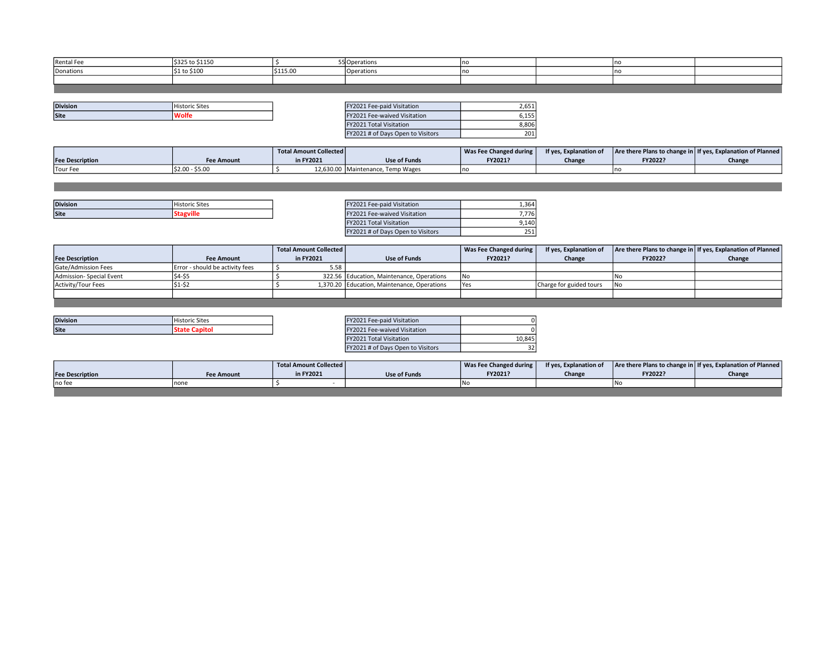| <b>Rental Fee</b> | \$325 to \$1150         |          | 5 Operations | ٬nc |  |  |
|-------------------|-------------------------|----------|--------------|-----|--|--|
| Donations         | $\frac{1}{2}1$ to \$100 | \$115.00 | Operations   | no  |  |  |
|                   |                         |          |              |     |  |  |
|                   |                         |          |              |     |  |  |

| <b>Division</b> | <b>Historic Sites</b> | Fee-paid Visitation<br>V2021     | $\sim$<br>2,651 |
|-----------------|-----------------------|----------------------------------|-----------------|
| <b>Site</b>     | /olte                 | . Fee-waived Visitation<br>Y2021 | ∪.⊥J.           |
|                 |                       |                                  |                 |

| FY2021 Fee-paid Visitation        |       |
|-----------------------------------|-------|
| FY2021 Fee-waived Visitation      | 6,155 |
| <b>FY2021 Total Visitation</b>    | 8.806 |
| FY2021 # of Days Open to Visitors |       |

|                        |                   | <b>Total Amount Collected</b> |                                   | Was Fee Changed during | If yes, Explanation of |         | Are there Plans to change in   If yes, Explanation of Planned |
|------------------------|-------------------|-------------------------------|-----------------------------------|------------------------|------------------------|---------|---------------------------------------------------------------|
| <b>Fee Description</b> | <b>Fee Amount</b> | in FY2021                     | <b>Use of Funds</b>               | FY2021?                | Change                 | FY2022? | Change                                                        |
| Tour Fee               | \$2.00 - \$5.00   |                               | 12,630.00 Maintenance, Temp Wages |                        |                        |         |                                                               |

| <b>Division</b> | $-1$<br>Historic Sites | Visitation<br>Fee-paid<br>ZUZ I      | 1,364   |
|-----------------|------------------------|--------------------------------------|---------|
| <b>Site</b>     |                        | ee-waived Visitation<br>г. -<br>ree- | 7 7 7 6 |

| FY2021 Fee-paid Visitation        |       |
|-----------------------------------|-------|
| FY2021 Fee-waived Visitation      | 7.776 |
| <b>FY2021 Total Visitation</b>    | 9.140 |
| FY2021 # of Days Open to Visitors |       |

|                           |                                 | Total Amount Collected |                                             | Was Fee Changed during | If yes, Explanation of  |         | Are there Plans to change in   If yes, Explanation of Planned |
|---------------------------|---------------------------------|------------------------|---------------------------------------------|------------------------|-------------------------|---------|---------------------------------------------------------------|
| <b>Fee Description</b>    | <b>Fee Amount</b>               | in FY2021              | Use of Funds                                | FY2021?                | Change                  | FY2022? | Change                                                        |
| Gate/Admission Fees       | Error - should be activity fees | 5.58                   |                                             |                        |                         |         |                                                               |
| Admission-Special Event   | 'S4-S5                          |                        | 322.56 Education, Maintenance, Operations   | 'No                    |                         |         |                                                               |
| <b>Activity/Tour Fees</b> | \$1-\$2                         |                        | 1,370.20 Education, Maintenance, Operations | <b>Yes</b>             | Charge for guided tours | INO.    |                                                               |
|                           |                                 |                        |                                             |                        |                         |         |                                                               |
|                           |                                 |                        |                                             |                        |                         |         |                                                               |

| <b>Division</b> | <b>Historic Sites</b> | FY2021 Fee-paid Visitation          |  |
|-----------------|-----------------------|-------------------------------------|--|
| <b>Site</b>     | .cate                 | <b>FY2021 Fee-waived Visitation</b> |  |

| FY2021 Fee-paid Visitation        |        |
|-----------------------------------|--------|
| FY2021 Fee-waived Visitation      |        |
| <b>FY2021 Total Visitation</b>    | 10.845 |
| FY2021 # of Days Open to Visitors |        |

|                        |                   | Total Amount Collected |              | Was Fee Changed during | If yes, Explanation of |         | Are there Plans to change in If yes, Explanation of Planned |
|------------------------|-------------------|------------------------|--------------|------------------------|------------------------|---------|-------------------------------------------------------------|
| <b>Fee Description</b> | <b>Fee Amount</b> | in FY2021              | Use of Funds | FY2021?                | Change                 | FY2022? | Change                                                      |
| Ino fee                | Inon.             |                        |              | l Nr                   |                        |         |                                                             |
|                        |                   |                        |              |                        |                        |         |                                                             |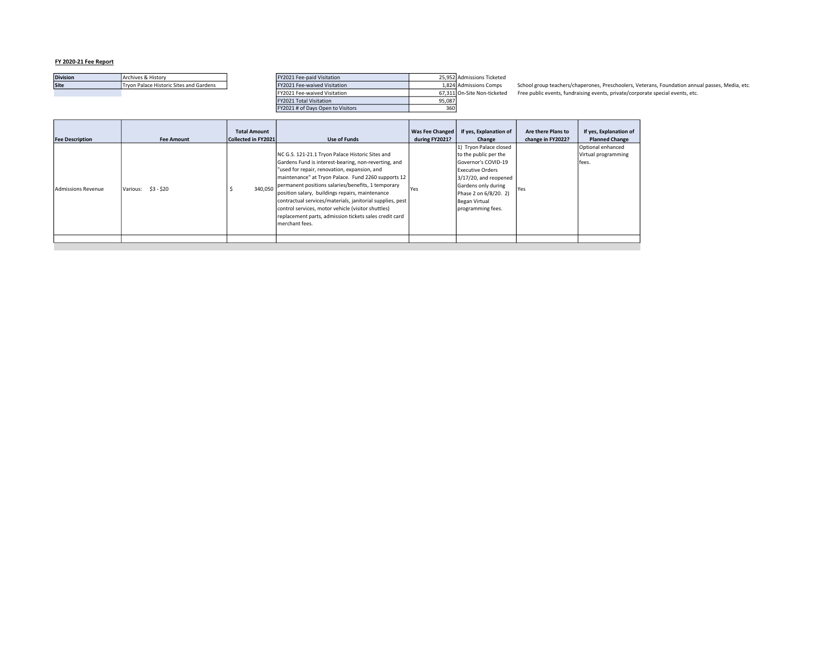| <b>Division</b> | Archives & History                      | FY2021 Fee-paid Visitation        |        | 25.952 Admissions Ticketed  |
|-----------------|-----------------------------------------|-----------------------------------|--------|-----------------------------|
| <b>Site</b>     | Trvon Palace Historic Sites and Gardens | FY2021 Fee-waived Visitation      |        | 1.824 Admissions Comps      |
|                 |                                         | FY2021 Fee-waived Visitation      |        | 67.311 On-Site Non-ticketed |
|                 |                                         | FY2021 Total Visitation           | 95.087 |                             |
|                 |                                         | FY2021 # of Davs Open to Visitors | 360    |                             |

os School group teachers/chaperones, Preschoolers, Veterans, Foundation annual passes, Media, etc. .<br>eted Free public events, fundraising events, private/corporate special events, etc.

| <b>Fee Description</b>    | <b>Fee Amount</b>      | <b>Total Amount</b><br>Collected in FY2021 | Use of Funds                                                                                                                                                                                                                                                                                                                                                                                                                                                                                                            | <b>Was Fee Changed</b><br>during FY2021? | If yes, Explanation of<br>Change                                                                                                                                                                                 | Are there Plans to<br>change in FY2022? | If yes, Explanation of<br><b>Planned Change</b>   |
|---------------------------|------------------------|--------------------------------------------|-------------------------------------------------------------------------------------------------------------------------------------------------------------------------------------------------------------------------------------------------------------------------------------------------------------------------------------------------------------------------------------------------------------------------------------------------------------------------------------------------------------------------|------------------------------------------|------------------------------------------------------------------------------------------------------------------------------------------------------------------------------------------------------------------|-----------------------------------------|---------------------------------------------------|
| <b>Admissions Revenue</b> | \$3 - \$20<br>Various: | 340.050                                    | NC G.S. 121-21.1 Tryon Palace Historic Sites and<br>Gardens Fund is interest-bearing, non-reverting, and<br>"used for repair, renovation, expansion, and<br>maintenance" at Tryon Palace. Fund 2260 supports 12<br>permanent positions salaries/benefits, 1 temporary<br>position salary, buildings repairs, maintenance<br>contractual services/materials, janitorial supplies, pest<br>control services, motor vehicle (visitor shuttles)<br>replacement parts, admission tickets sales credit card<br>merchant fees. | <b>Yes</b>                               | 1) Tryon Palace closed<br>to the public per the<br>Governor's COVID-19<br><b>Executive Orders</b><br>3/17/20, and reopened<br>Gardens only during<br>Phase 2 on 6/8/20. 2)<br>Began Virtual<br>programming fees. | <b>Yes</b>                              | Optional enhanced<br>Virtual programming<br>fees. |
|                           |                        |                                            |                                                                                                                                                                                                                                                                                                                                                                                                                                                                                                                         |                                          |                                                                                                                                                                                                                  |                                         |                                                   |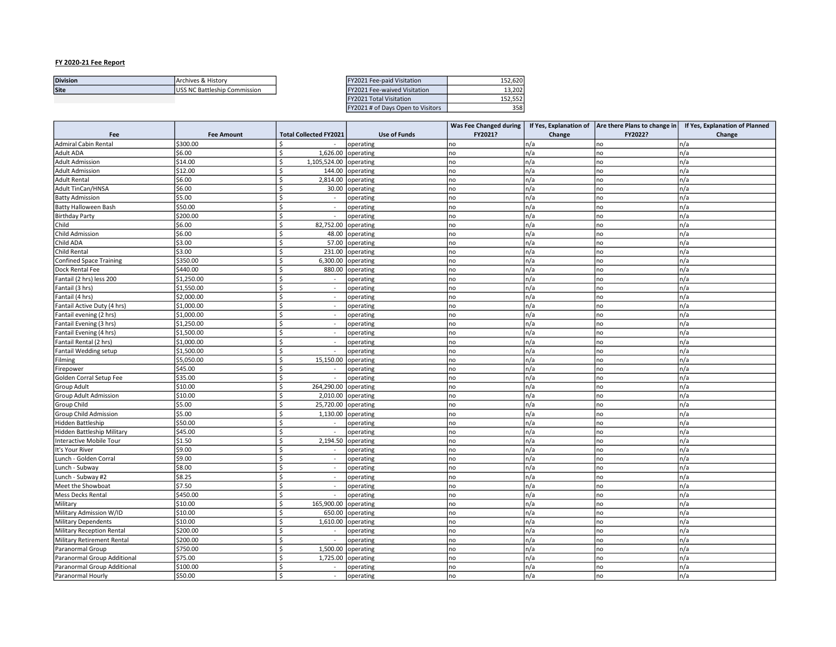|                 |                              |                              | the contract of the contract of the contract of the contract of the contract of |
|-----------------|------------------------------|------------------------------|---------------------------------------------------------------------------------|
| Site            | S NC Battleship Commission ن | Fee-waived Visitation<br>202 | 13.202                                                                          |
| <b>Division</b> | Archives & History           | Y2021 Fee-paid Visitation    | 152.620                                                                         |

| FY2021 Fee-paid Visitation        | 152.620 |
|-----------------------------------|---------|
| FY2021 Fee-waived Visitation      | 13.202  |
| <b>FY2021 Total Visitation</b>    | 152.552 |
| FY2021 # of Days Open to Visitors |         |

|                                |                   |                               |                     | Was Fee Changed during |        | If Yes, Explanation of $ $ Are there Plans to change in $ $ | If Yes, Explanation of Planned |
|--------------------------------|-------------------|-------------------------------|---------------------|------------------------|--------|-------------------------------------------------------------|--------------------------------|
| Fee                            | <b>Fee Amount</b> | <b>Total Collected FY2021</b> | <b>Use of Funds</b> | FY2021?                | Change | FY2022?                                                     | Change                         |
| <b>Admiral Cabin Rental</b>    | \$300.00          | Ś<br>$\blacksquare$           | operating           | no                     | n/a    | no                                                          | n/a                            |
| Adult ADA                      | \$6.00            | \$<br>1,626.00                | operating           | no                     | n/a    | no                                                          | n/a                            |
| <b>Adult Admission</b>         | \$14.00           | Ś<br>1,105,524.00             | operating           | no                     | n/a    | no                                                          | n/a                            |
| <b>Adult Admission</b>         | \$12.00           | <sup>\$</sup><br>144.00       | operating           | no                     | n/a    | no                                                          | n/a                            |
| <b>Adult Rental</b>            | \$6.00            | \$<br>2,814.00                | operating           | no                     | n/a    | no                                                          | n/a                            |
| Adult TinCan/HNSA              | \$6.00            | <sup>\$</sup><br>30.00        | operating           | no                     | n/a    | no                                                          | n/a                            |
| <b>Batty Admission</b>         | \$5.00            | \$<br>$\sim$                  | operating           | no                     | n/a    | no                                                          | n/a                            |
| <b>Batty Halloween Bash</b>    | \$50.00           | Ś<br>$\sim$                   | operating           | no                     | n/a    | no                                                          | n/a                            |
| <b>Birthday Party</b>          | \$200.00          | \$<br>$\sim$                  | operating           | no                     | n/a    | no                                                          | n/a                            |
| Child                          | \$6.00            | <sup>\$</sup><br>82,752.00    | operating           | no                     | n/a    | no                                                          | n/a                            |
| <b>Child Admission</b>         | \$6.00            | Ŝ.<br>48.00                   | operating           | no                     | n/a    | no                                                          | n/a                            |
| Child ADA                      | \$3.00            | \$<br>57.00                   | operating           | no                     | n/a    | no                                                          | n/a                            |
| Child Rental                   | \$3.00            | \$<br>231.00                  | operating           | no                     | n/a    | no                                                          | n/a                            |
| <b>Confined Space Training</b> | \$350.00          | Ŝ.<br>6,300.00                | operating           | no                     | n/a    | no                                                          | n/a                            |
| Dock Rental Fee                | \$440.00          | Ŝ.<br>880.00                  | operating           | no                     | n/a    | no                                                          | n/a                            |
| Fantail (2 hrs) less 200       | \$1,250.00        | Ś<br>$\sim$                   | operating           | no                     | n/a    | no                                                          | n/a                            |
| Fantail (3 hrs)                | \$1,550.00        | Ś<br>$\omega$                 | operating           | no                     | n/a    | no                                                          | n/a                            |
| Fantail (4 hrs)                | \$2,000.00        | Ŝ.<br>$\sim$                  | operating           | no                     | n/a    | no                                                          | n/a                            |
| Fantail Active Duty (4 hrs)    | \$1,000.00        | Ś<br>$\omega$                 | operating           | no                     | n/a    | no                                                          | n/a                            |
| Fantail evening (2 hrs)        | \$1,000.00        | \$<br>$\omega$                | operating           | no                     | n/a    | no                                                          | n/a                            |
| Fantail Evening (3 hrs)        | \$1,250.00        | Ŝ.<br>$\omega$                | operating           | no                     | n/a    | no                                                          | n/a                            |
| Fantail Evening (4 hrs)        | \$1,500.00        | <sup>\$</sup><br>$\sim$       | operating           | no                     | n/a    | no                                                          | n/a                            |
| Fantail Rental (2 hrs)         | \$1,000.00        | Ś<br>$\omega$                 | operating           | no                     | n/a    | no                                                          | n/a                            |
| <b>Fantail Wedding setup</b>   | \$1,500.00        | \$<br>$\sim$                  | operating           | no                     | n/a    | no                                                          | n/a                            |
| Filming                        | \$5,050.00        | <sup>\$</sup><br>15,150.00    | operating           | no                     | n/a    | no                                                          | n/a                            |
| Firepower                      | \$45.00           | Ŝ.<br>$\sim$                  | operating           | no                     | n/a    | no                                                          | n/a                            |
| Golden Corral Setup Fee        | \$35.00           | \$<br>$\omega$                | operating           | no                     | n/a    | no                                                          | n/a                            |
| Group Adult                    | \$10.00           | \$<br>264,290.00 operating    |                     | no                     | n/a    | no                                                          | n/a                            |
| Group Adult Admission          | \$10.00           | Ś<br>2,010.00                 | operating           | no                     | n/a    | no                                                          | n/a                            |
| Group Child                    | \$5.00            | \$<br>25,720.00               | operating           | no                     | n/a    | no                                                          | n/a                            |
| Group Child Admission          | \$5.00            | \$<br>1,130.00                | operating           | no                     | n/a    | no                                                          | n/a                            |
| Hidden Battleship              | \$50.00           | <sup>\$</sup><br>$\sim$       | operating           | no                     | n/a    | no                                                          | n/a                            |
| Hidden Battleship Military     | \$45.00           | <sup>\$</sup><br>$\sim$       | operating           | no                     | n/a    | no                                                          | n/a                            |
| Interactive Mobile Tour        | \$1.50            | <sup>\$</sup><br>2,194.50     | operating           | no                     | n/a    | no                                                          | n/a                            |
| It's Your River                | \$9.00            | \$<br>$\sim$                  | operating           | no                     | n/a    | no                                                          | n/a                            |
| Lunch - Golden Corral          | \$9.00            | -Ś<br>$\sim$                  | operating           | no                     | n/a    | no                                                          | n/a                            |
| Lunch - Subway                 | \$8.00            | \$<br>$\sim$                  | operating           | no                     | n/a    | no                                                          | n/a                            |
| Lunch - Subway #2              | \$8.25            | <sup>\$</sup><br>$\sim$       | operating           | no                     | n/a    | no                                                          | n/a                            |
| Meet the Showboat              | \$7.50            | \$<br>$\sim$                  | operating           | no                     | n/a    | no                                                          | n/a                            |
| Mess Decks Rental              | \$450.00          | <sup>\$</sup><br>$\sim$       | operating           | no                     | n/a    | no                                                          | n/a                            |
| Military                       | \$10.00           | \$<br>165,900.00              | operating           | no                     | n/a    | no                                                          | n/a                            |
| Military Admission W/ID        | \$10.00           | Ś<br>650.00                   | operating           | no                     | n/a    | no                                                          | n/a                            |
| <b>Military Dependents</b>     | \$10.00           | Ŝ.<br>1,610.00                | operating           | no                     | n/a    | no                                                          | n/a                            |
| Military Reception Rental      | \$200.00          | <sup>\$</sup><br>$\sim$       | operating           | no                     | n/a    | no                                                          | n/a                            |
| Military Retirement Rental     | \$200.00          | Ś<br>$\blacksquare$           | operating           | no                     | n/a    | no                                                          | n/a                            |
| Paranormal Group               | \$750.00          | Ś<br>1,500.00                 | operating           | no                     | n/a    | no                                                          | n/a                            |
| Paranormal Group Additional    | \$75.00           | <sup>\$</sup><br>1,725.00     | operating           | no                     | n/a    | no                                                          | n/a                            |
| Paranormal Group Additional    | \$100.00          | \$<br>$\sim$                  | operating           | no                     | n/a    | no                                                          | n/a                            |
| Paranormal Hourly              | \$50.00           | <sup>\$</sup><br>$\omega$     | operating           | no                     | n/a    | no                                                          | n/a                            |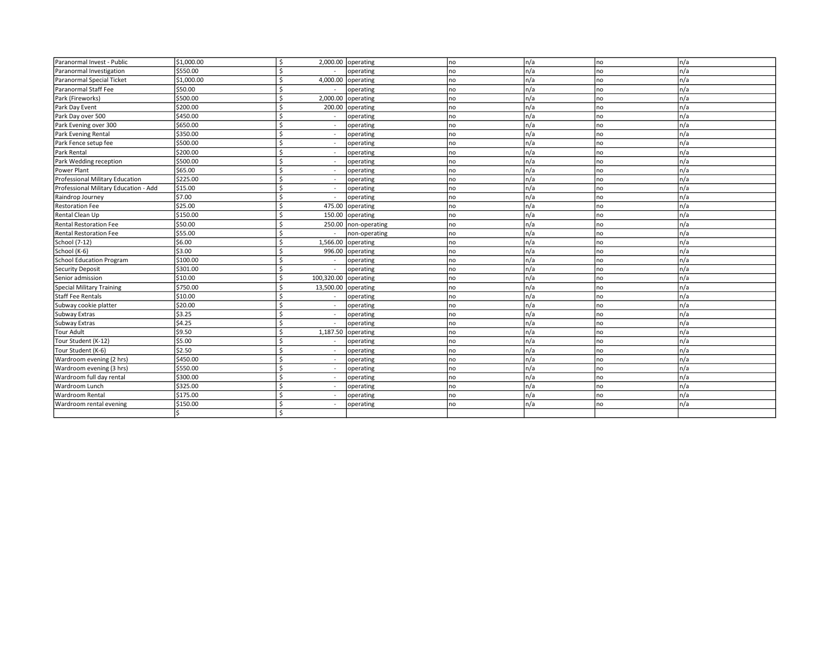| Paranormal Invest - Public            | \$1,000.00 | \$                                  | $2,000.00$ operating | no. | n/a  | no          | n/a  |
|---------------------------------------|------------|-------------------------------------|----------------------|-----|------|-------------|------|
| Paranormal Investigation              | \$550.00   |                                     | operating            | no  | In/a | no          | n/a  |
| Paranormal Special Ticket             | \$1,000.00 | 4,000.00                            | operating            | no  | n/a  | no          | n/a  |
| Paranormal Staff Fee                  | \$50.00    | Ś<br>$\sim$                         | operating            | no  | In/a | no          | n/a  |
| Park (Fireworks)                      | \$500.00   | $\zeta$<br>2,000.00                 | operating            | no  | n/a  | no          | n/a  |
| Park Day Event                        | \$200.00   | $\zeta$<br>200.00                   | operating            | no  | n/a  | no          | n/a  |
| Park Day over 500                     | \$450.00   | \$<br>$\sim$                        | operating            | no  | In/a | l no        | n/a  |
| Park Evening over 300                 | \$650.00   | Ś<br>$\blacksquare$                 | operating            | no  | n/a  | no          | n/a  |
| Park Evening Rental                   | \$350.00   | Ś<br>$\sim$                         | operating            | no  | n/a  | no          | n/a  |
| Park Fence setup fee                  | \$500.00   | Ś                                   | operating            | no  | n/a  | no          | n/a  |
| Park Rental                           | \$200.00   | Ś<br>$\sim$                         | operating            | no  | n/a  | no          | n/a  |
| Park Wedding reception                | \$500.00   | $\zeta$<br>$\sim$                   | operating            | no  | n/a  | no          | n/a  |
| Power Plant                           | \$65.00    | ¢<br>$\sim$                         | operating            | no  | In/a | no          | n/a  |
| Professional Military Education       | \$225.00   | \$<br>$\blacksquare$                | operating            | no  | In/a | no          | n/a  |
| Professional Military Education - Add | \$15.00    | \$<br>$\sim$                        | operating            | no  | In/a | no          | n/a  |
| Raindrop Journey                      | \$7.00     | Ś<br>$\overline{\phantom{a}}$       | operating            | no  | n/a  | no          | n/a  |
| <b>Restoration Fee</b>                | \$25.00    | Ś<br>475.00                         | operating            | no  | n/a  | no          | n/a  |
| Rental Clean Up                       | \$150.00   | \$<br>150.00                        | operating            | no  | n/a  | <b>I</b> no | n/a  |
| <b>Rental Restoration Fee</b>         | \$50.00    | Ś<br>250.00                         | non-operating        | no  | n/a  | no          | n/a  |
| <b>Rental Restoration Fee</b>         | \$55.00    | $\omega$                            | non-operating        | no  | n/a  | no          | n/a  |
| School (7-12)                         | \$6.00     | $\zeta$<br>1,566.00                 | operating            | no  | n/a  | no          | n/a  |
| School (K-6)                          | \$3.00     | $\zeta$<br>996.00                   | operating            | no  | In/a | no          | n/a  |
| School Education Program              | \$100.00   | Ś<br>$\sim$                         | operating            | no  | n/a  | no          | n/a  |
| <b>Security Deposit</b>               | \$301.00   | Ś<br>$\sim$                         | operating            | no  | n/a  | no          | n/a  |
| Senior admission                      | \$10.00    | Ś<br>100,320.00                     | operating            | no  | n/a  | no          | n/a  |
| Special Military Training             | \$750.00   | $\zeta$<br>13,500.00                | operating            | no  | n/a  | no          | In/a |
| <b>Staff Fee Rentals</b>              | \$10.00    | $\zeta$<br>$\sim$                   | operating            | no  | n/a  | no          | n/a  |
| Subway cookie platter                 | \$20.00    | \$<br>$\sim$                        | operating            | no  | n/a  | no          | n/a  |
| Subway Extras                         | \$3.25     | Ś<br>$\overline{\phantom{a}}$       | operating            | no  | In/a | no          | n/a  |
| Subway Extras                         | \$4.25     | Ś                                   | operating            | no  | In/a | no          | n/a  |
| <b>Tour Adult</b>                     | \$9.50     | \$<br>1,187.50                      | operating            | no  | n/a  | no          | n/a  |
| Tour Student (K-12)                   | \$5.00     | Ś                                   | operating            | no  | n/a  | no          | n/a  |
| Tour Student (K-6)                    | \$2.50     | $\omega$                            | operating            | no  | n/a  | no          | n/a  |
| Wardroom evening (2 hrs)              | \$450.00   | $\overline{\phantom{a}}$            | operating            | no  | n/a  | no          | n/a  |
| Wardroom evening (3 hrs)              | \$550.00   | $\zeta$<br>$\overline{\phantom{a}}$ | operating            | no  | In/a | no          | n/a  |
| Wardroom full day rental              | \$300.00   | Ś<br>$\sim$                         | operating            | no  | n/a  | no          | n/a  |
| Wardroom Lunch                        | \$325.00   | Ś<br>$\overline{\phantom{a}}$       | operating            | no  | n/a  | no          | n/a  |
| <b>Wardroom Rental</b>                | \$175.00   | Ś<br>$\blacksquare$                 | operating            | no  | In/a | no          | n/a  |
| Wardroom rental evening               | \$150.00   | Ś                                   | operating            | no  | n/a  | no          | n/a  |
|                                       |            | $\zeta$                             |                      |     |      |             |      |
|                                       |            |                                     |                      |     |      |             |      |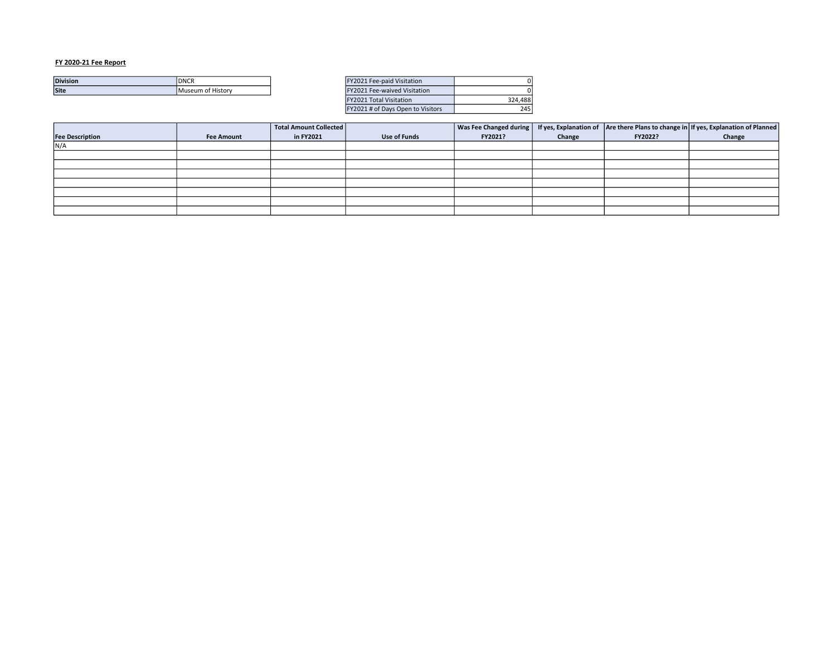| <b>Division</b> | <b>DNCR</b>        | Y2021 Fee-paid Visitation        |  |
|-----------------|--------------------|----------------------------------|--|
| <b>Site</b>     | IMuseum of Historv | L Fee-waived Visitation<br>V2021 |  |
|                 |                    |                                  |  |

| FY2021 Fee-paid Visitation        |         |
|-----------------------------------|---------|
| FY2021 Fee-waived Visitation      |         |
| <b>FY2021 Total Visitation</b>    | 324.488 |
| FY2021 # of Days Open to Visitors | 745.    |

|                        |                   | Total Amount Collected |                     |         |        |         | Was Fee Changed during   If yes, Explanation of   Are there Plans to change in   If yes, Explanation of Planned |
|------------------------|-------------------|------------------------|---------------------|---------|--------|---------|-----------------------------------------------------------------------------------------------------------------|
| <b>Fee Description</b> | <b>Fee Amount</b> | in FY2021              | <b>Use of Funds</b> | FY2021? | Change | FY2022? | Change                                                                                                          |
| N/A                    |                   |                        |                     |         |        |         |                                                                                                                 |
|                        |                   |                        |                     |         |        |         |                                                                                                                 |
|                        |                   |                        |                     |         |        |         |                                                                                                                 |
|                        |                   |                        |                     |         |        |         |                                                                                                                 |
|                        |                   |                        |                     |         |        |         |                                                                                                                 |
|                        |                   |                        |                     |         |        |         |                                                                                                                 |
|                        |                   |                        |                     |         |        |         |                                                                                                                 |
|                        |                   |                        |                     |         |        |         |                                                                                                                 |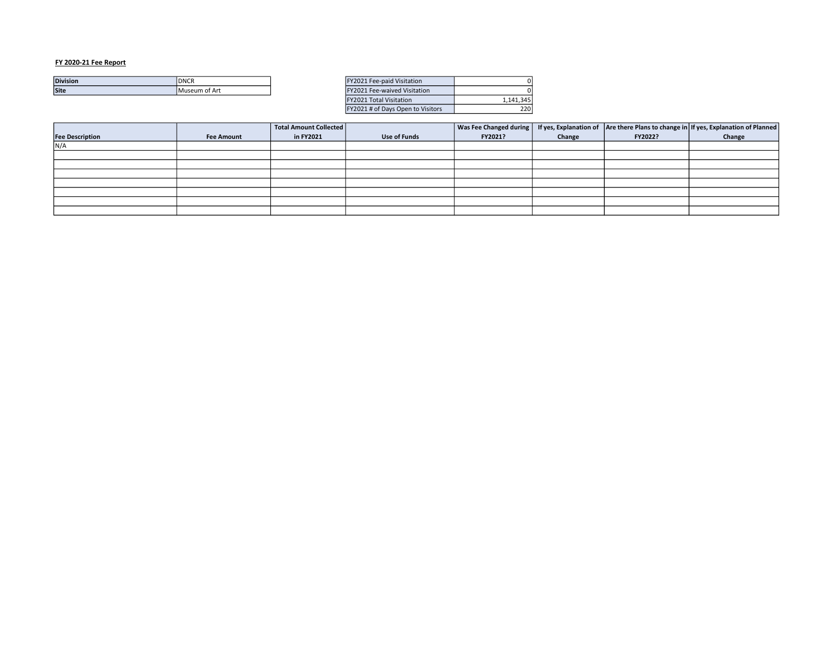| <b>Division</b> | IDNCR                 | Fee-paid Visitation<br>2021.   |  |
|-----------------|-----------------------|--------------------------------|--|
| <b>Site</b>     | <b>IMuseum of Art</b> | Fee-waived Visitation<br>'2021 |  |
|                 |                       |                                |  |

| FY2021 Fee-paid Visitation        |           |
|-----------------------------------|-----------|
| FY2021 Fee-waived Visitation      |           |
| <b>FY2021 Total Visitation</b>    | 1.141.345 |
| FY2021 # of Days Open to Visitors | 220 I     |

|                        |                   | Total Amount Collected |                     |         |        |         | Was Fee Changed during   If yes, Explanation of   Are there Plans to change in   If yes, Explanation of Planned |
|------------------------|-------------------|------------------------|---------------------|---------|--------|---------|-----------------------------------------------------------------------------------------------------------------|
| <b>Fee Description</b> | <b>Fee Amount</b> | in FY2021              | <b>Use of Funds</b> | FY2021? | Change | FY2022? | Change                                                                                                          |
| N/A                    |                   |                        |                     |         |        |         |                                                                                                                 |
|                        |                   |                        |                     |         |        |         |                                                                                                                 |
|                        |                   |                        |                     |         |        |         |                                                                                                                 |
|                        |                   |                        |                     |         |        |         |                                                                                                                 |
|                        |                   |                        |                     |         |        |         |                                                                                                                 |
|                        |                   |                        |                     |         |        |         |                                                                                                                 |
|                        |                   |                        |                     |         |        |         |                                                                                                                 |
|                        |                   |                        |                     |         |        |         |                                                                                                                 |